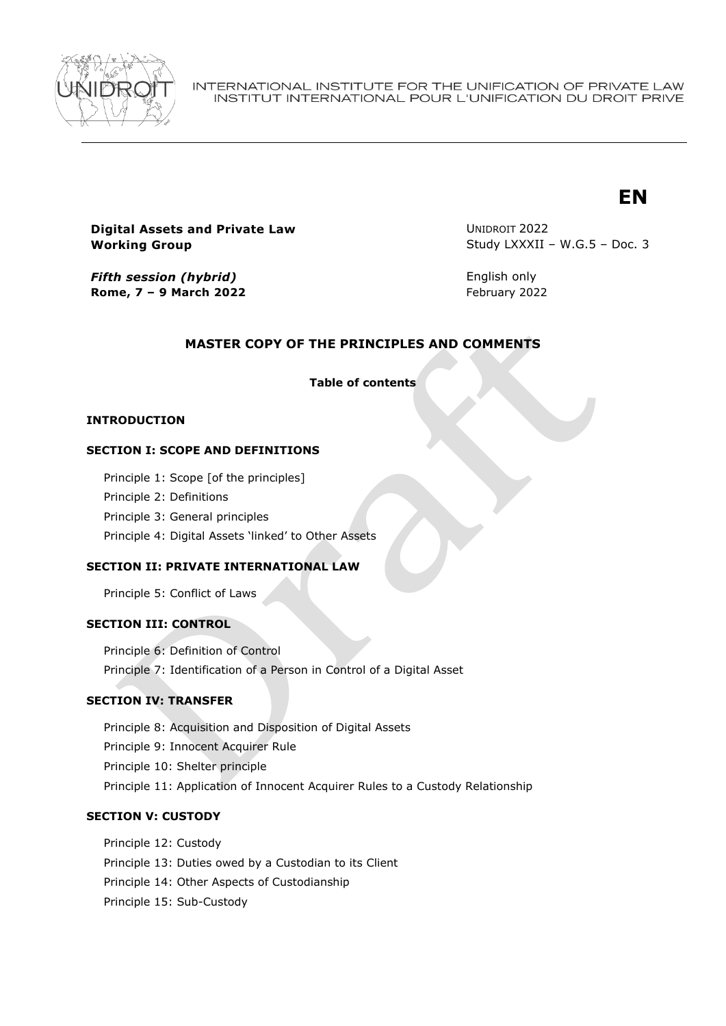

INTERNATIONAL INSTITUTE FOR THE UNIFICATION OF PRIVATE LAW INSTITUT INTERNATIONAL POUR L'UNIFICATION DU DROIT PRIVE

# **EN**

# **Digital Assets and Private Law Working Group**

UNIDROIT 2022 Study LXXXII – W.G.5 – Doc. 3

*Fifth session (hybrid)* **Rome, 7 – 9 March 2022**

English only February 2022

# **MASTER COPY OF THE PRINCIPLES AND COMMENTS**

**Table of contents**

### **INTRODUCTION**

### **SECTION I: SCOPE AND DEFINITIONS**

Principle 1: Scope [of the principles]

Principle 2: Definitions

Principle 3: General principles

Principle 4: Digital Assets 'linked' to Other Assets

# **SECTION II: PRIVATE INTERNATIONAL LAW**

Principle 5: Conflict of Laws

### **SECTION III: CONTROL**

Principle 6: Definition of Control Principle 7: Identification of a Person in Control of a Digital Asset

# **SECTION IV: TRANSFER**

Principle 8: Acquisition and Disposition of Digital Assets

Principle 9: Innocent Acquirer Rule

Principle 10: Shelter principle

Principle 11: Application of Innocent Acquirer Rules to a Custody Relationship

### **SECTION V: CUSTODY**

Principle 12: Custody Principle 13: Duties owed by a Custodian to its Client Principle 14: Other Aspects of Custodianship Principle 15: Sub-Custody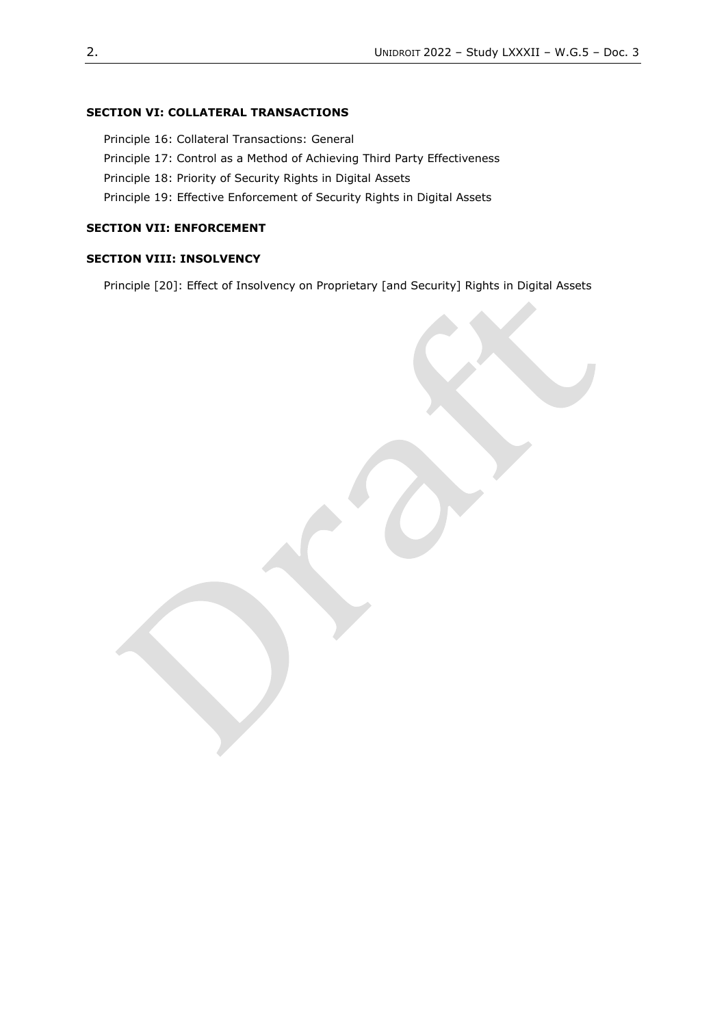#### **SECTION VI: COLLATERAL TRANSACTIONS**

Principle 16: Collateral Transactions: General

Principle 17: Control as a Method of Achieving Third Party Effectiveness

Principle 18: Priority of Security Rights in Digital Assets

Principle 19: Effective Enforcement of Security Rights in Digital Assets

# **SECTION VII: ENFORCEMENT**

#### **SECTION VIII: INSOLVENCY**

Principle [20]: Effect of Insolvency on Proprietary [and Security] Rights in Digital Assets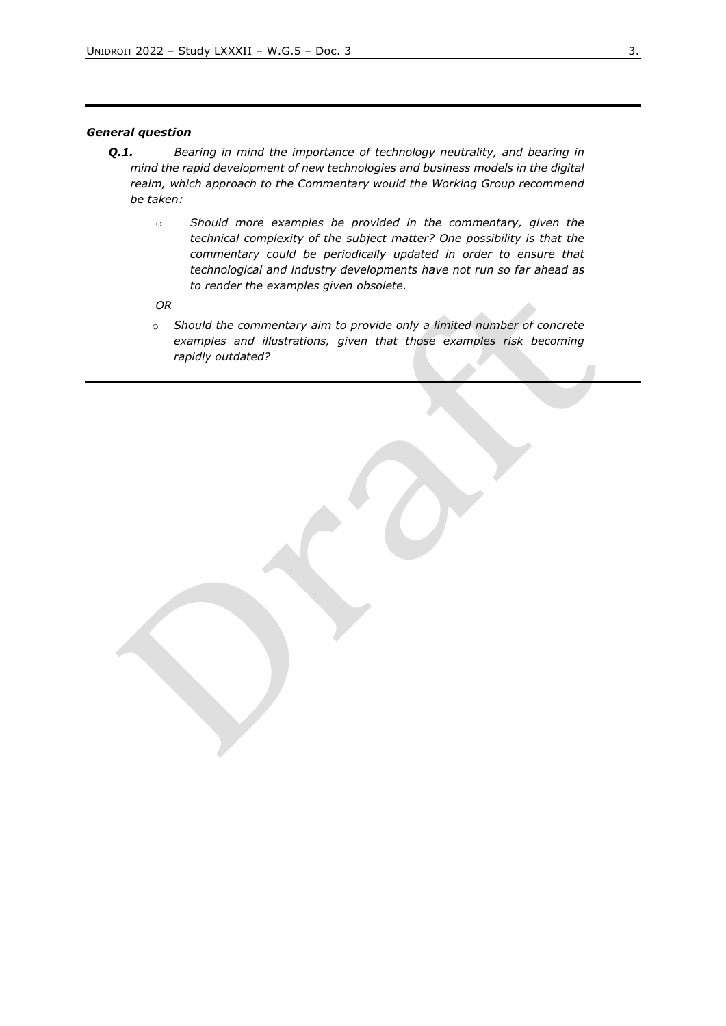#### *General question*

- *Q.1. Bearing in mind the importance of technology neutrality, and bearing in mind the rapid development of new technologies and business models in the digital realm, which approach to the Commentary would the Working Group recommend be taken:* 
	- o *Should more examples be provided in the commentary, given the technical complexity of the subject matter? One possibility is that the commentary could be periodically updated in order to ensure that technological and industry developments have not run so far ahead as to render the examples given obsolete.*

*OR*

o *Should the commentary aim to provide only a limited number of concrete examples and illustrations, given that those examples risk becoming rapidly outdated?*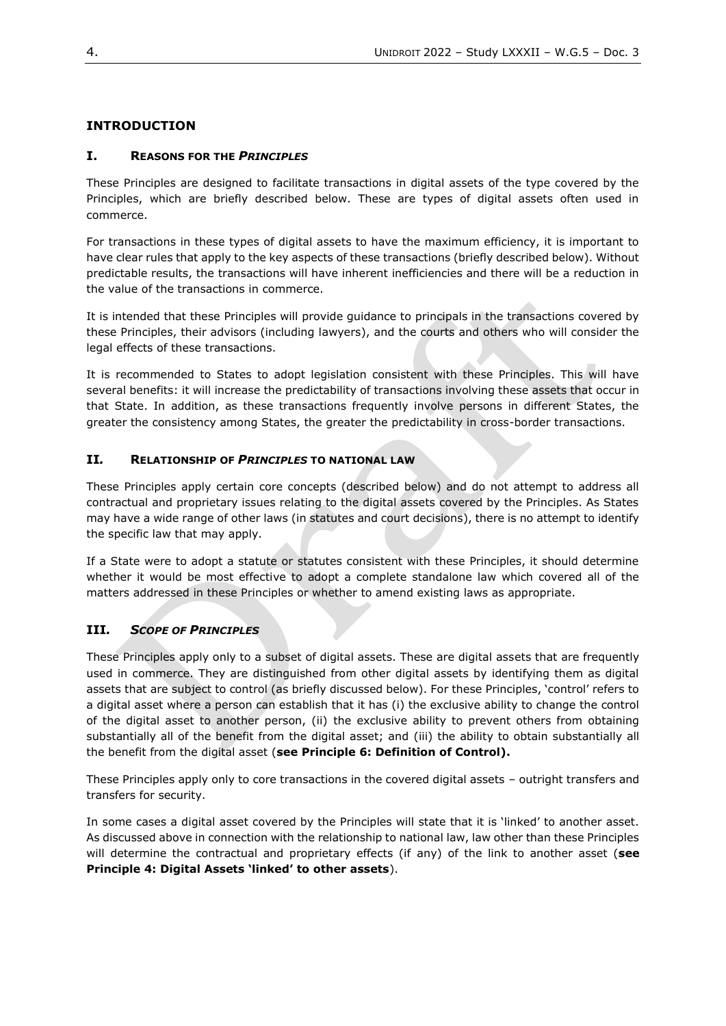### **INTRODUCTION**

### **I. REASONS FOR THE** *PRINCIPLES*

These Principles are designed to facilitate transactions in digital assets of the type covered by the Principles, which are briefly described below. These are types of digital assets often used in commerce.

For transactions in these types of digital assets to have the maximum efficiency, it is important to have clear rules that apply to the key aspects of these transactions (briefly described below). Without predictable results, the transactions will have inherent inefficiencies and there will be a reduction in the value of the transactions in commerce.

It is intended that these Principles will provide guidance to principals in the transactions covered by these Principles, their advisors (including lawyers), and the courts and others who will consider the legal effects of these transactions.

It is recommended to States to adopt legislation consistent with these Principles. This will have several benefits: it will increase the predictability of transactions involving these assets that occur in that State. In addition, as these transactions frequently involve persons in different States, the greater the consistency among States, the greater the predictability in cross-border transactions.

### **II***.* **RELATIONSHIP OF** *PRINCIPLES* **TO NATIONAL LAW**

These Principles apply certain core concepts (described below) and do not attempt to address all contractual and proprietary issues relating to the digital assets covered by the Principles. As States may have a wide range of other laws (in statutes and court decisions), there is no attempt to identify the specific law that may apply.

If a State were to adopt a statute or statutes consistent with these Principles, it should determine whether it would be most effective to adopt a complete standalone law which covered all of the matters addressed in these Principles or whether to amend existing laws as appropriate.

### **III***. SCOPE OF PRINCIPLES*

These Principles apply only to a subset of digital assets. These are digital assets that are frequently used in commerce. They are distinguished from other digital assets by identifying them as digital assets that are subject to control (as briefly discussed below). For these Principles, 'control' refers to a digital asset where a person can establish that it has (i) the exclusive ability to change the control of the digital asset to another person, (ii) the exclusive ability to prevent others from obtaining substantially all of the benefit from the digital asset; and (iii) the ability to obtain substantially all the benefit from the digital asset (**see Principle 6: Definition of Control).**

These Principles apply only to core transactions in the covered digital assets – outright transfers and transfers for security.

In some cases a digital asset covered by the Principles will state that it is 'linked' to another asset. As discussed above in connection with the relationship to national law, law other than these Principles will determine the contractual and proprietary effects (if any) of the link to another asset (**see Principle 4: Digital Assets 'linked' to other assets**).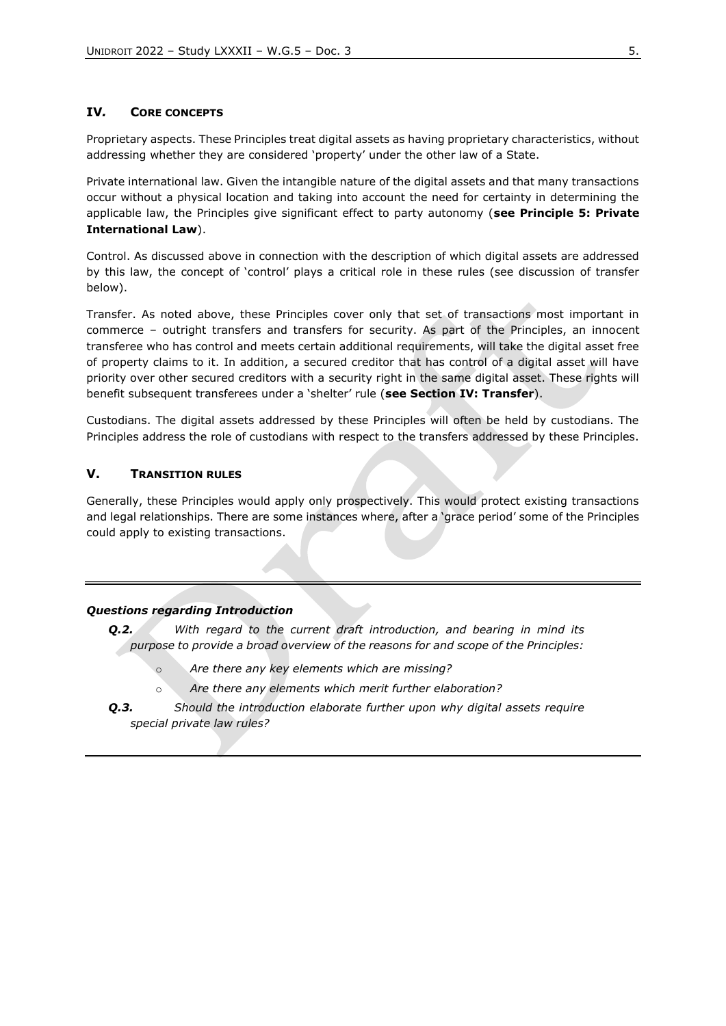### **IV***.* **CORE CONCEPTS**

Proprietary aspects. These Principles treat digital assets as having proprietary characteristics, without addressing whether they are considered 'property' under the other law of a State.

Private international law. Given the intangible nature of the digital assets and that many transactions occur without a physical location and taking into account the need for certainty in determining the applicable law, the Principles give significant effect to party autonomy (**see Principle 5: Private International Law**).

Control. As discussed above in connection with the description of which digital assets are addressed by this law, the concept of 'control' plays a critical role in these rules (see discussion of transfer below).

Transfer. As noted above, these Principles cover only that set of transactions most important in commerce – outright transfers and transfers for security. As part of the Principles, an innocent transferee who has control and meets certain additional requirements, will take the digital asset free of property claims to it. In addition, a secured creditor that has control of a digital asset will have priority over other secured creditors with a security right in the same digital asset. These rights will benefit subsequent transferees under a 'shelter' rule (**see Section IV: Transfer**).

Custodians. The digital assets addressed by these Principles will often be held by custodians. The Principles address the role of custodians with respect to the transfers addressed by these Principles.

### **V. TRANSITION RULES**

Generally, these Principles would apply only prospectively. This would protect existing transactions and legal relationships. There are some instances where, after a 'grace period' some of the Principles could apply to existing transactions.

#### *Questions regarding Introduction*

*Q.2. With regard to the current draft introduction, and bearing in mind its purpose to provide a broad overview of the reasons for and scope of the Principles:*

- o *Are there any key elements which are missing?*
- o *Are there any elements which merit further elaboration?*
- *Q.3. Should the introduction elaborate further upon why digital assets require special private law rules?*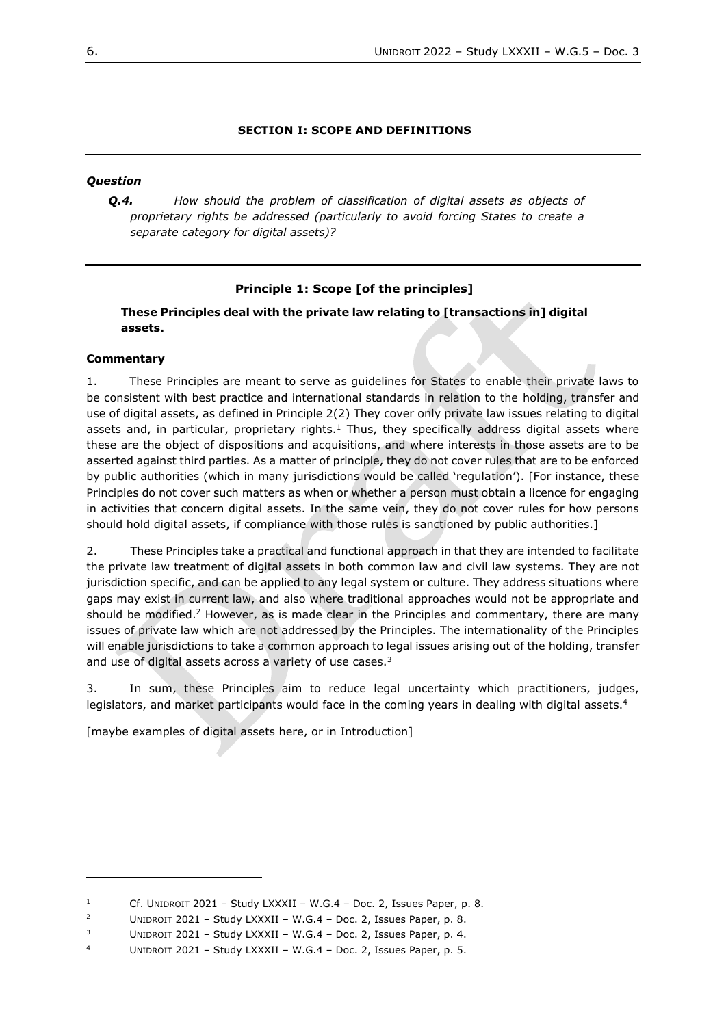### **SECTION I: SCOPE AND DEFINITIONS**

### *Question*

*Q.4. How should the problem of classification of digital assets as objects of proprietary rights be addressed (particularly to avoid forcing States to create a separate category for digital assets)?* 

### **Principle 1: Scope [of the principles]**

**These Principles deal with the private law relating to [transactions in] digital assets.**

#### **Commentary**

1. These Principles are meant to serve as guidelines for States to enable their private laws to be consistent with best practice and international standards in relation to the holding, transfer and use of digital assets, as defined in Principle 2(2) They cover only private law issues relating to digital assets and, in particular, proprietary rights.<sup>1</sup> Thus, they specifically address digital assets where these are the object of dispositions and acquisitions, and where interests in those assets are to be asserted against third parties. As a matter of principle, they do not cover rules that are to be enforced by public authorities (which in many jurisdictions would be called 'regulation'). [For instance, these Principles do not cover such matters as when or whether a person must obtain a licence for engaging in activities that concern digital assets. In the same vein, they do not cover rules for how persons should hold digital assets, if compliance with those rules is sanctioned by public authorities.]

2. These Principles take a practical and functional approach in that they are intended to facilitate the private law treatment of digital assets in both common law and civil law systems. They are not jurisdiction specific, and can be applied to any legal system or culture. They address situations where gaps may exist in current law, and also where traditional approaches would not be appropriate and should be modified.<sup>2</sup> However, as is made clear in the Principles and commentary, there are many issues of private law which are not addressed by the Principles. The internationality of the Principles will enable jurisdictions to take a common approach to legal issues arising out of the holding, transfer and use of digital assets across a variety of use cases.<sup>3</sup>

3. In sum, these Principles aim to reduce legal uncertainty which practitioners, judges, legislators, and market participants would face in the coming years in dealing with digital assets.<sup>4</sup>

[maybe examples of digital assets here, or in Introduction]

<sup>&</sup>lt;sup>1</sup> Cf. UNIDROIT 2021 – Study LXXXII – W.G.4 – Doc. 2, Issues Paper, p. 8.

<sup>&</sup>lt;sup>2</sup> UNIDROIT 2021 – Study LXXXII – W.G.4 – Doc. 2, Issues Paper, p. 8.

<sup>&</sup>lt;sup>3</sup> UNIDROIT 2021 – Study LXXXII – W.G.4 – Doc. 2, Issues Paper, p. 4.

<sup>4</sup> UNIDROIT 2021 – Study LXXXII – W.G.4 – Doc. 2, Issues Paper, p. 5.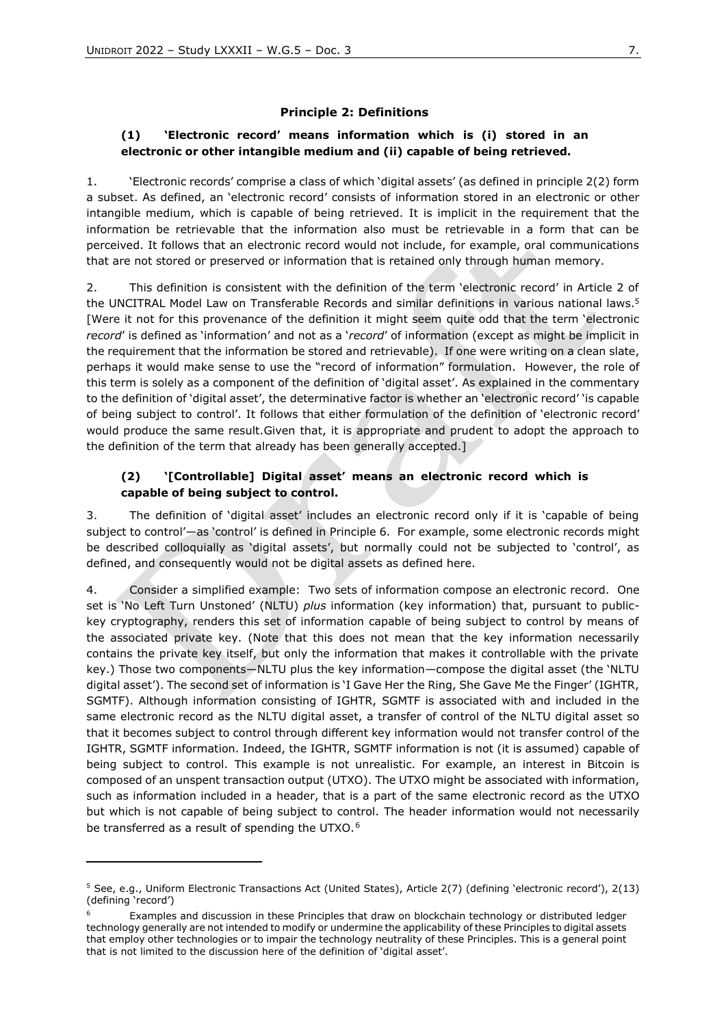### **Principle 2: Definitions**

### **(1) 'Electronic record' means information which is (i) stored in an electronic or other intangible medium and (ii) capable of being retrieved.**

1. 'Electronic records' comprise a class of which 'digital assets' (as defined in principle 2(2) form a subset. As defined, an 'electronic record' consists of information stored in an electronic or other intangible medium, which is capable of being retrieved. It is implicit in the requirement that the information be retrievable that the information also must be retrievable in a form that can be perceived. It follows that an electronic record would not include, for example, oral communications that are not stored or preserved or information that is retained only through human memory.

2. This definition is consistent with the definition of the term 'electronic record' in Article 2 of the UNCITRAL Model Law on Transferable Records and similar definitions in various national laws.<sup>5</sup> [Were it not for this provenance of the definition it might seem quite odd that the term 'electronic *record*' is defined as 'information' and not as a '*record*' of information (except as might be implicit in the requirement that the information be stored and retrievable). If one were writing on a clean slate, perhaps it would make sense to use the "record of information" formulation. However, the role of this term is solely as a component of the definition of 'digital asset'. As explained in the commentary to the definition of 'digital asset', the determinative factor is whether an 'electronic record' 'is capable of being subject to control'. It follows that either formulation of the definition of 'electronic record' would produce the same result.Given that, it is appropriate and prudent to adopt the approach to the definition of the term that already has been generally accepted.]

### **(2) '[Controllable] Digital asset' means an electronic record which is capable of being subject to control.**

3. The definition of 'digital asset' includes an electronic record only if it is 'capable of being subject to control'—as 'control' is defined in Principle 6. For example, some electronic records might be described colloquially as 'digital assets', but normally could not be subjected to 'control', as defined, and consequently would not be digital assets as defined here.

4. Consider a simplified example: Two sets of information compose an electronic record. One set is 'No Left Turn Unstoned' (NLTU) *plus* information (key information) that, pursuant to publickey cryptography, renders this set of information capable of being subject to control by means of the associated private key. (Note that this does not mean that the key information necessarily contains the private key itself, but only the information that makes it controllable with the private key.) Those two components—NLTU plus the key information—compose the digital asset (the 'NLTU digital asset'). The second set of information is 'I Gave Her the Ring, She Gave Me the Finger' (IGHTR, SGMTF). Although information consisting of IGHTR, SGMTF is associated with and included in the same electronic record as the NLTU digital asset, a transfer of control of the NLTU digital asset so that it becomes subject to control through different key information would not transfer control of the IGHTR, SGMTF information. Indeed, the IGHTR, SGMTF information is not (it is assumed) capable of being subject to control. This example is not unrealistic. For example, an interest in Bitcoin is composed of an unspent transaction output (UTXO). The UTXO might be associated with information, such as information included in a header, that is a part of the same electronic record as the UTXO but which is not capable of being subject to control. The header information would not necessarily be transferred as a result of spending the UTXO.<sup>6</sup>

<sup>5</sup> See, e.g., Uniform Electronic Transactions Act (United States), Article 2(7) (defining 'electronic record'), 2(13) (defining 'record')

<sup>6</sup> Examples and discussion in these Principles that draw on blockchain technology or distributed ledger technology generally are not intended to modify or undermine the applicability of these Principles to digital assets that employ other technologies or to impair the technology neutrality of these Principles. This is a general point that is not limited to the discussion here of the definition of 'digital asset'.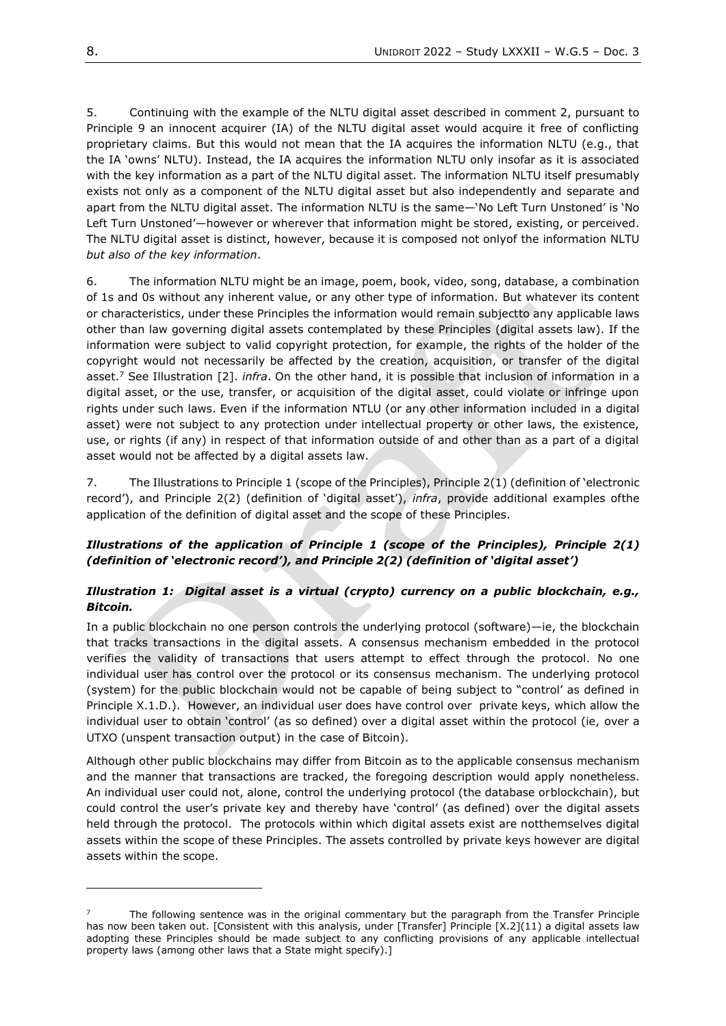5. Continuing with the example of the NLTU digital asset described in comment 2, pursuant to Principle 9 an innocent acquirer (IA) of the NLTU digital asset would acquire it free of conflicting proprietary claims. But this would not mean that the IA acquires the information NLTU (e.g., that the IA 'owns' NLTU). Instead, the IA acquires the information NLTU only insofar as it is associated with the key information as a part of the NLTU digital asset. The information NLTU itself presumably exists not only as a component of the NLTU digital asset but also independently and separate and apart from the NLTU digital asset. The information NLTU is the same—'No Left Turn Unstoned' is 'No Left Turn Unstoned'—however or wherever that information might be stored, existing, or perceived. The NLTU digital asset is distinct, however, because it is composed not onlyof the information NLTU *but also of the key information*.

6. The information NLTU might be an image, poem, book, video, song, database, a combination of 1s and 0s without any inherent value, or any other type of information. But whatever its content or characteristics, under these Principles the information would remain subjectto any applicable laws other than law governing digital assets contemplated by these Principles (digital assets law). If the information were subject to valid copyright protection, for example, the rights of the holder of the copyright would not necessarily be affected by the creation, acquisition, or transfer of the digital asset.<sup>7</sup> See Illustration [2]. *infra*. On the other hand, it is possible that inclusion of information in a digital asset, or the use, transfer, or acquisition of the digital asset, could violate or infringe upon rights under such laws. Even if the information NTLU (or any other information included in a digital asset) were not subject to any protection under intellectual property or other laws, the existence, use, or rights (if any) in respect of that information outside of and other than as a part of a digital asset would not be affected by a digital assets law.

7. The Illustrations to Principle 1 (scope of the Principles), Principle 2(1) (definition of 'electronic record'), and Principle 2(2) (definition of 'digital asset'), *infra*, provide additional examples ofthe application of the definition of digital asset and the scope of these Principles.

### *Illustrations of the application of Principle 1 (scope of the Principles), Principle 2(1) (definition of 'electronic record'), and Principle 2(2) (definition of 'digital asset')*

# *Illustration 1: Digital asset is a virtual (crypto) currency on a public blockchain, e.g., Bitcoin.*

In a public blockchain no one person controls the underlying protocol (software)—ie, the blockchain that tracks transactions in the digital assets. A consensus mechanism embedded in the protocol verifies the validity of transactions that users attempt to effect through the protocol. No one individual user has control over the protocol or its consensus mechanism. The underlying protocol (system) for the public blockchain would not be capable of being subject to "control' as defined in Principle X.1.D.). However, an individual user does have control over private keys, which allow the individual user to obtain 'control' (as so defined) over a digital asset within the protocol (ie, over a UTXO (unspent transaction output) in the case of Bitcoin).

Although other public blockchains may differ from Bitcoin as to the applicable consensus mechanism and the manner that transactions are tracked, the foregoing description would apply nonetheless. An individual user could not, alone, control the underlying protocol (the database orblockchain), but could control the user's private key and thereby have 'control' (as defined) over the digital assets held through the protocol. The protocols within which digital assets exist are notthemselves digital assets within the scope of these Principles. The assets controlled by private keys however are digital assets within the scope.

<sup>7</sup> The following sentence was in the original commentary but the paragraph from the Transfer Principle has now been taken out. [Consistent with this analysis, under [Transfer] Principle [X.2](11) a digital assets law adopting these Principles should be made subject to any conflicting provisions of any applicable intellectual property laws (among other laws that a State might specify).]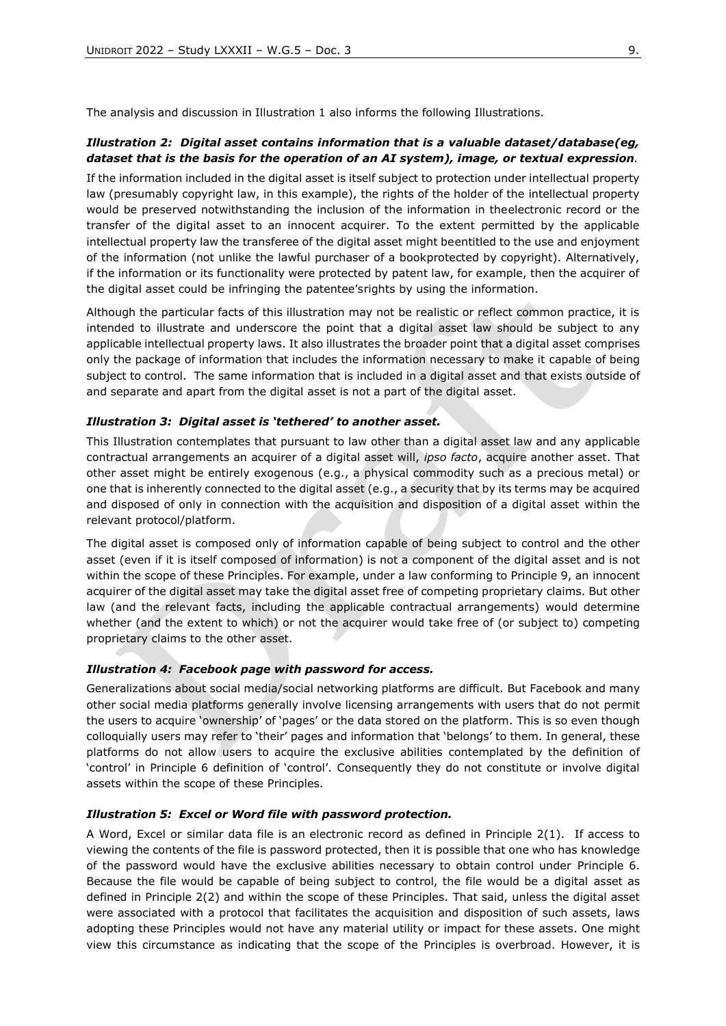The analysis and discussion in Illustration 1 also informs the following Illustrations.

### *Illustration 2: Digital asset contains information that is a valuable dataset/database(eg, dataset that is the basis for the operation of an AI system), image, or textual expression.*

If the information included in the digital asset is itself subject to protection under intellectual property law (presumably copyright law, in this example), the rights of the holder of the intellectual property would be preserved notwithstanding the inclusion of the information in theelectronic record or the transfer of the digital asset to an innocent acquirer. To the extent permitted by the applicable intellectual property law the transferee of the digital asset might beentitled to the use and enjoyment of the information (not unlike the lawful purchaser of a bookprotected by copyright). Alternatively, if the information or its functionality were protected by patent law, for example, then the acquirer of the digital asset could be infringing the patentee'srights by using the information.

Although the particular facts of this illustration may not be realistic or reflect common practice, it is intended to illustrate and underscore the point that a digital asset law should be subject to any applicable intellectual property laws. It also illustrates the broader point that a digital asset comprises only the package of information that includes the information necessary to make it capable of being subject to control. The same information that is included in a digital asset and that exists outside of and separate and apart from the digital asset is not a part of the digital asset.

#### *Illustration 3: Digital asset is 'tethered' to another asset.*

This Illustration contemplates that pursuant to law other than a digital asset law and any applicable contractual arrangements an acquirer of a digital asset will, *ipso facto*, acquire another asset. That other asset might be entirely exogenous (e.g., a physical commodity such as a precious metal) or one that is inherently connected to the digital asset (e.g., a security that by its terms may be acquired and disposed of only in connection with the acquisition and disposition of a digital asset within the relevant protocol/platform.

The digital asset is composed only of information capable of being subject to control and the other asset (even if it is itself composed of information) is not a component of the digital asset and is not within the scope of these Principles. For example, under a law conforming to Principle 9, an innocent acquirer of the digital asset may take the digital asset free of competing proprietary claims. But other law (and the relevant facts, including the applicable contractual arrangements) would determine whether (and the extent to which) or not the acquirer would take free of (or subject to) competing proprietary claims to the other asset.

#### *Illustration 4: Facebook page with password for access.*

Generalizations about social media/social networking platforms are difficult. But Facebook and many other social media platforms generally involve licensing arrangements with users that do not permit the users to acquire 'ownership' of 'pages' or the data stored on the platform. This is so even though colloquially users may refer to 'their' pages and information that 'belongs' to them. In general, these platforms do not allow users to acquire the exclusive abilities contemplated by the definition of 'control' in Principle 6 definition of 'control'. Consequently they do not constitute or involve digital assets within the scope of these Principles.

#### *Illustration 5: Excel or Word file with password protection.*

A Word, Excel or similar data file is an electronic record as defined in Principle 2(1). If access to viewing the contents of the file is password protected, then it is possible that one who has knowledge of the password would have the exclusive abilities necessary to obtain control under Principle 6. Because the file would be capable of being subject to control, the file would be a digital asset as defined in Principle 2(2) and within the scope of these Principles. That said, unless the digital asset were associated with a protocol that facilitates the acquisition and disposition of such assets, laws adopting these Principles would not have any material utility or impact for these assets. One might view this circumstance as indicating that the scope of the Principles is overbroad. However, it is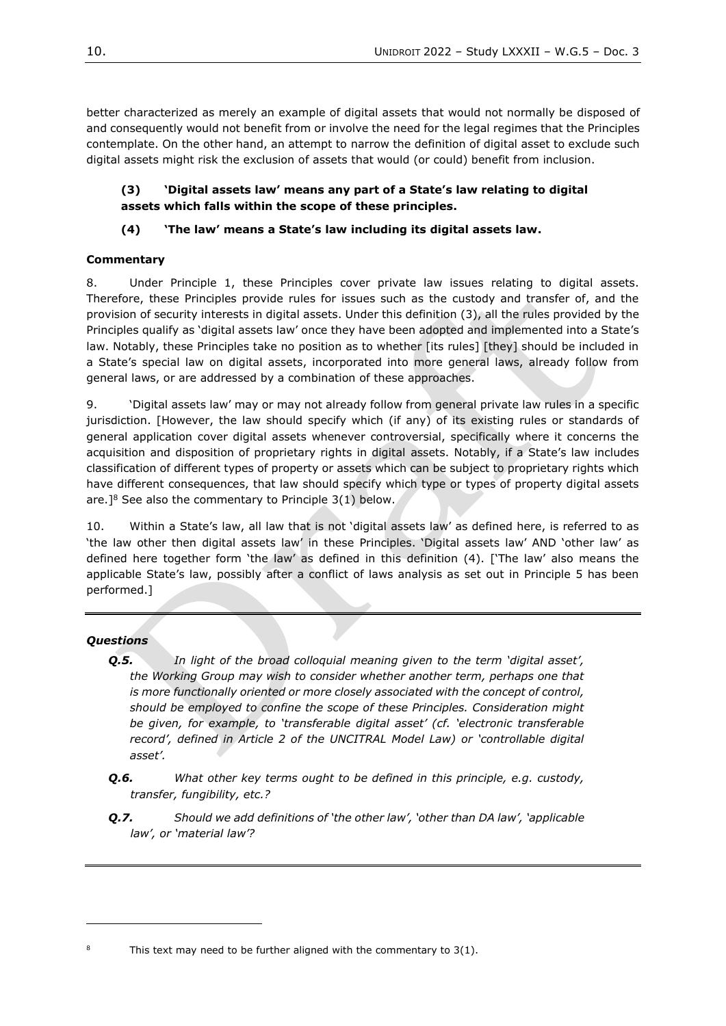better characterized as merely an example of digital assets that would not normally be disposed of and consequently would not benefit from or involve the need for the legal regimes that the Principles contemplate. On the other hand, an attempt to narrow the definition of digital asset to exclude such digital assets might risk the exclusion of assets that would (or could) benefit from inclusion.

# **(3) 'Digital assets law' means any part of a State's law relating to digital assets which falls within the scope of these principles.**

# **(4) 'The law' means a State's law including its digital assets law.**

# **Commentary**

8. Under Principle 1, these Principles cover private law issues relating to digital assets. Therefore, these Principles provide rules for issues such as the custody and transfer of, and the provision of security interests in digital assets. Under this definition (3), all the rules provided by the Principles qualify as 'digital assets law' once they have been adopted and implemented into a State's law. Notably, these Principles take no position as to whether [its rules] [they] should be included in a State's special law on digital assets, incorporated into more general laws, already follow from general laws, or are addressed by a combination of these approaches.

9. 'Digital assets law' may or may not already follow from general private law rules in a specific jurisdiction. [However, the law should specify which (if any) of its existing rules or standards of general application cover digital assets whenever controversial, specifically where it concerns the acquisition and disposition of proprietary rights in digital assets. Notably, if a State's law includes classification of different types of property or assets which can be subject to proprietary rights which have different consequences, that law should specify which type or types of property digital assets are.]<sup>8</sup> See also the commentary to Principle  $3(1)$  below.

10. Within a State's law, all law that is not 'digital assets law' as defined here, is referred to as 'the law other then digital assets law' in these Principles. 'Digital assets law' AND 'other law' as defined here together form 'the law' as defined in this definition (4). ['The law' also means the applicable State's law, possibly after a conflict of laws analysis as set out in Principle 5 has been performed.]

# *Questions*

- *Q.5. In light of the broad colloquial meaning given to the term 'digital asset', the Working Group may wish to consider whether another term, perhaps one that is more functionally oriented or more closely associated with the concept of control, should be employed to confine the scope of these Principles. Consideration might be given, for example, to 'transferable digital asset' (cf. 'electronic transferable record', defined in Article 2 of the UNCITRAL Model Law) or 'controllable digital asset'.*
- *Q.6. What other key terms ought to be defined in this principle, e.g. custody, transfer, fungibility, etc.?*
- *Q.7. Should we add definitions of 'the other law', 'other than DA law', 'applicable law', or 'material law'?*

This text may need to be further aligned with the commentary to  $3(1)$ .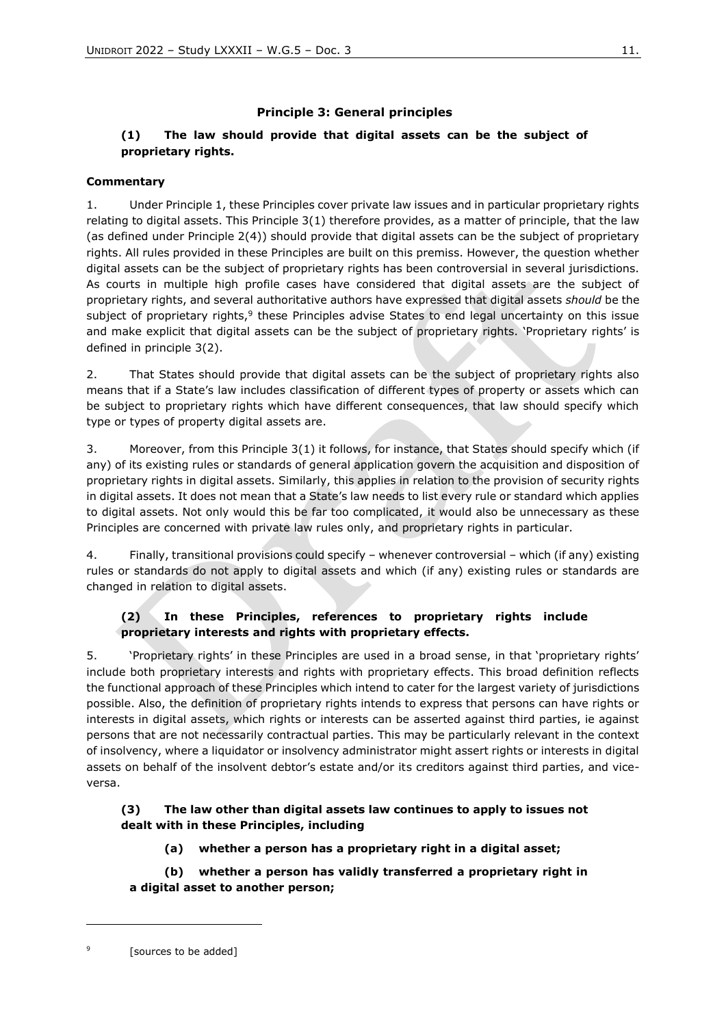# **Principle 3: General principles**

# **(1) The law should provide that digital assets can be the subject of proprietary rights.**

### **Commentary**

1. Under Principle 1, these Principles cover private law issues and in particular proprietary rights relating to digital assets. This Principle 3(1) therefore provides, as a matter of principle, that the law (as defined under Principle 2(4)) should provide that digital assets can be the subject of proprietary rights. All rules provided in these Principles are built on this premiss. However, the question whether digital assets can be the subject of proprietary rights has been controversial in several jurisdictions. As courts in multiple high profile cases have considered that digital assets are the subject of proprietary rights, and several authoritative authors have expressed that digital assets *should* be the subject of proprietary rights,<sup>9</sup> these Principles advise States to end legal uncertainty on this issue and make explicit that digital assets can be the subject of proprietary rights. 'Proprietary rights' is defined in principle 3(2).

2. That States should provide that digital assets can be the subject of proprietary rights also means that if a State's law includes classification of different types of property or assets which can be subject to proprietary rights which have different consequences, that law should specify which type or types of property digital assets are.

3. Moreover, from this Principle 3(1) it follows, for instance, that States should specify which (if any) of its existing rules or standards of general application govern the acquisition and disposition of proprietary rights in digital assets. Similarly, this applies in relation to the provision of security rights in digital assets. It does not mean that a State's law needs to list every rule or standard which applies to digital assets. Not only would this be far too complicated, it would also be unnecessary as these Principles are concerned with private law rules only, and proprietary rights in particular.

4. Finally, transitional provisions could specify – whenever controversial – which (if any) existing rules or standards do not apply to digital assets and which (if any) existing rules or standards are changed in relation to digital assets.

# **(2) In these Principles, references to proprietary rights include proprietary interests and rights with proprietary effects.**

5. 'Proprietary rights' in these Principles are used in a broad sense, in that 'proprietary rights' include both proprietary interests and rights with proprietary effects. This broad definition reflects the functional approach of these Principles which intend to cater for the largest variety of jurisdictions possible. Also, the definition of proprietary rights intends to express that persons can have rights or interests in digital assets, which rights or interests can be asserted against third parties, ie against persons that are not necessarily contractual parties. This may be particularly relevant in the context of insolvency, where a liquidator or insolvency administrator might assert rights or interests in digital assets on behalf of the insolvent debtor's estate and/or its creditors against third parties, and viceversa.

# **(3) The law other than digital assets law continues to apply to issues not dealt with in these Principles, including**

# **(a) whether a person has a proprietary right in a digital asset;**

# **(b) whether a person has validly transferred a proprietary right in a digital asset to another person;**

<sup>9</sup> [sources to be added]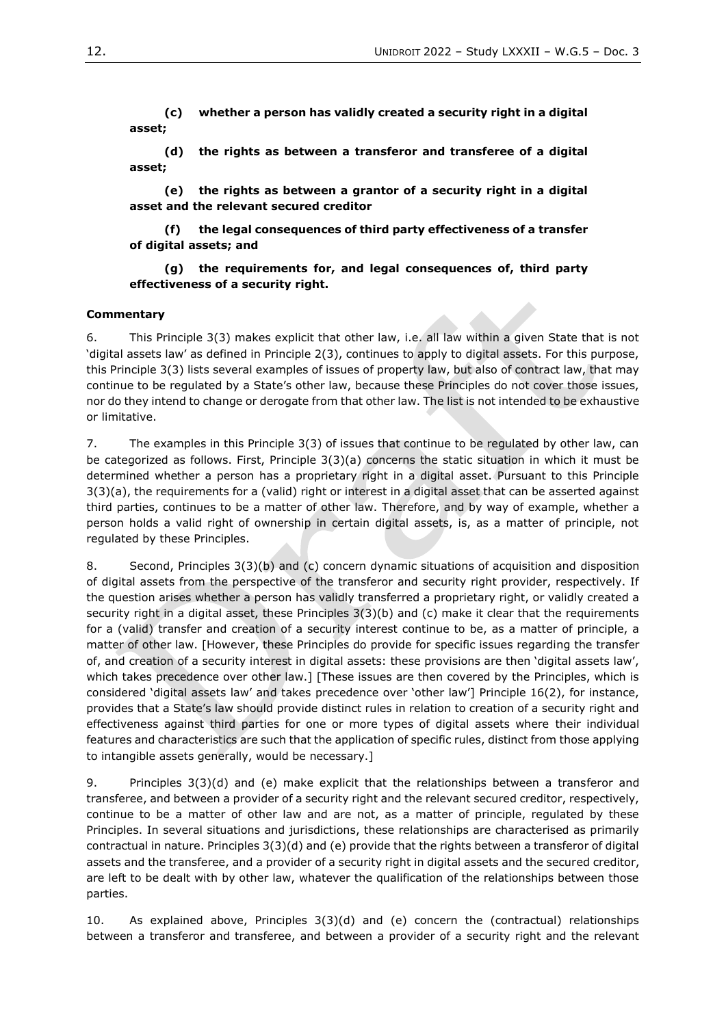**(c) whether a person has validly created a security right in a digital asset;** 

**(d) the rights as between a transferor and transferee of a digital asset;** 

**(e) the rights as between a grantor of a security right in a digital asset and the relevant secured creditor** 

**(f) the legal consequences of third party effectiveness of a transfer of digital assets; and**

### **(g) the requirements for, and legal consequences of, third party effectiveness of a security right.**

### **Commentary**

6. This Principle 3(3) makes explicit that other law, i.e. all law within a given State that is not 'digital assets law' as defined in Principle 2(3), continues to apply to digital assets. For this purpose, this Principle 3(3) lists several examples of issues of property law, but also of contract law, that may continue to be regulated by a State's other law, because these Principles do not cover those issues, nor do they intend to change or derogate from that other law. The list is not intended to be exhaustive or limitative.

7. The examples in this Principle 3(3) of issues that continue to be regulated by other law, can be categorized as follows. First, Principle 3(3)(a) concerns the static situation in which it must be determined whether a person has a proprietary right in a digital asset. Pursuant to this Principle 3(3)(a), the requirements for a (valid) right or interest in a digital asset that can be asserted against third parties, continues to be a matter of other law. Therefore, and by way of example, whether a person holds a valid right of ownership in certain digital assets, is, as a matter of principle, not regulated by these Principles.

8. Second, Principles 3(3)(b) and (c) concern dynamic situations of acquisition and disposition of digital assets from the perspective of the transferor and security right provider, respectively. If the question arises whether a person has validly transferred a proprietary right, or validly created a security right in a digital asset, these Principles 3(3)(b) and (c) make it clear that the requirements for a (valid) transfer and creation of a security interest continue to be, as a matter of principle, a matter of other law. [However, these Principles do provide for specific issues regarding the transfer of, and creation of a security interest in digital assets: these provisions are then 'digital assets law', which takes precedence over other law.] [These issues are then covered by the Principles, which is considered 'digital assets law' and takes precedence over 'other law'] Principle 16(2), for instance, provides that a State's law should provide distinct rules in relation to creation of a security right and effectiveness against third parties for one or more types of digital assets where their individual features and characteristics are such that the application of specific rules, distinct from those applying to intangible assets generally, would be necessary.]

9. Principles 3(3)(d) and (e) make explicit that the relationships between a transferor and transferee, and between a provider of a security right and the relevant secured creditor, respectively, continue to be a matter of other law and are not, as a matter of principle, regulated by these Principles. In several situations and jurisdictions, these relationships are characterised as primarily contractual in nature. Principles 3(3)(d) and (e) provide that the rights between a transferor of digital assets and the transferee, and a provider of a security right in digital assets and the secured creditor, are left to be dealt with by other law, whatever the qualification of the relationships between those parties.

10. As explained above, Principles 3(3)(d) and (e) concern the (contractual) relationships between a transferor and transferee, and between a provider of a security right and the relevant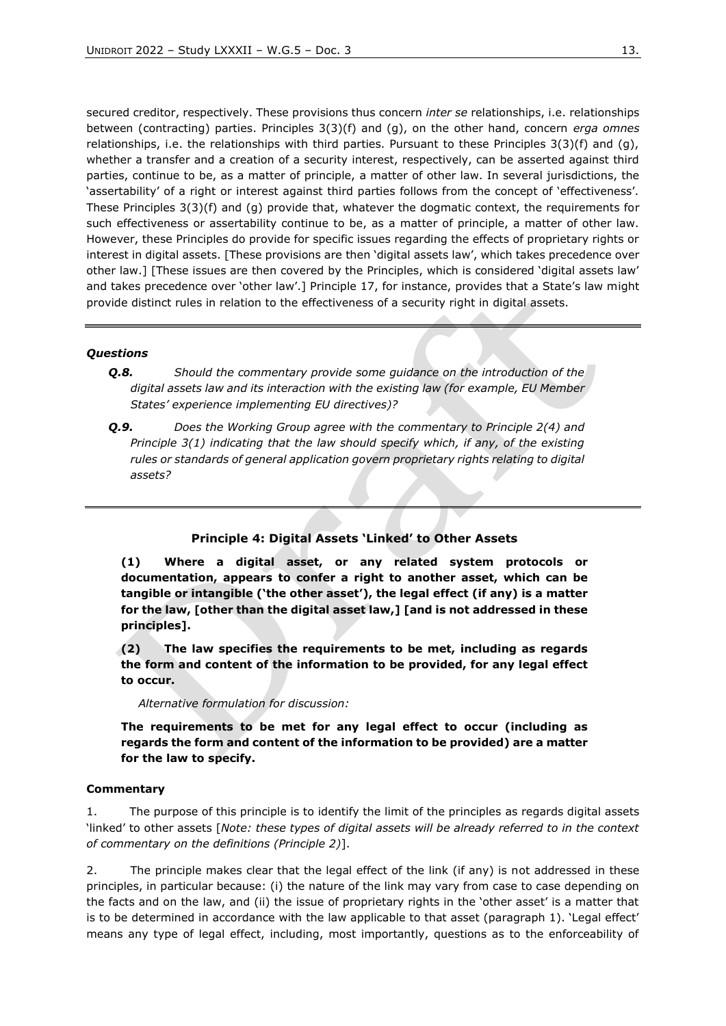secured creditor, respectively. These provisions thus concern *inter se* relationships, i.e. relationships between (contracting) parties. Principles 3(3)(f) and (g), on the other hand, concern *erga omnes*  relationships, i.e. the relationships with third parties. Pursuant to these Principles 3(3)(f) and (g), whether a transfer and a creation of a security interest, respectively, can be asserted against third parties, continue to be, as a matter of principle, a matter of other law. In several jurisdictions, the 'assertability' of a right or interest against third parties follows from the concept of 'effectiveness'. These Principles 3(3)(f) and (g) provide that, whatever the dogmatic context, the requirements for such effectiveness or assertability continue to be, as a matter of principle, a matter of other law. However, these Principles do provide for specific issues regarding the effects of proprietary rights or interest in digital assets. [These provisions are then 'digital assets law', which takes precedence over other law.] [These issues are then covered by the Principles, which is considered 'digital assets law' and takes precedence over 'other law'.] Principle 17, for instance, provides that a State's law might provide distinct rules in relation to the effectiveness of a security right in digital assets.

### *Questions*

- *Q.8. Should the commentary provide some guidance on the introduction of the digital assets law and its interaction with the existing law (for example, EU Member States' experience implementing EU directives)?*
- *Q.9. Does the Working Group agree with the commentary to Principle 2(4) and Principle 3(1) indicating that the law should specify which, if any, of the existing rules or standards of general application govern proprietary rights relating to digital assets?*

### **Principle 4: Digital Assets 'Linked' to Other Assets**

**(1) Where a digital asset, or any related system protocols or documentation, appears to confer a right to another asset, which can be tangible or intangible ('the other asset'), the legal effect (if any) is a matter for the law, [other than the digital asset law,] [and is not addressed in these principles].**

**(2) The law specifies the requirements to be met, including as regards the form and content of the information to be provided, for any legal effect to occur.**

*Alternative formulation for discussion:*

**The requirements to be met for any legal effect to occur (including as regards the form and content of the information to be provided) are a matter for the law to specify.** 

#### **Commentary**

1. The purpose of this principle is to identify the limit of the principles as regards digital assets 'linked' to other assets [*Note: these types of digital assets will be already referred to in the context of commentary on the definitions (Principle 2)*].

2. The principle makes clear that the legal effect of the link (if any) is not addressed in these principles, in particular because: (i) the nature of the link may vary from case to case depending on the facts and on the law, and (ii) the issue of proprietary rights in the 'other asset' is a matter that is to be determined in accordance with the law applicable to that asset (paragraph 1). 'Legal effect' means any type of legal effect, including, most importantly, questions as to the enforceability of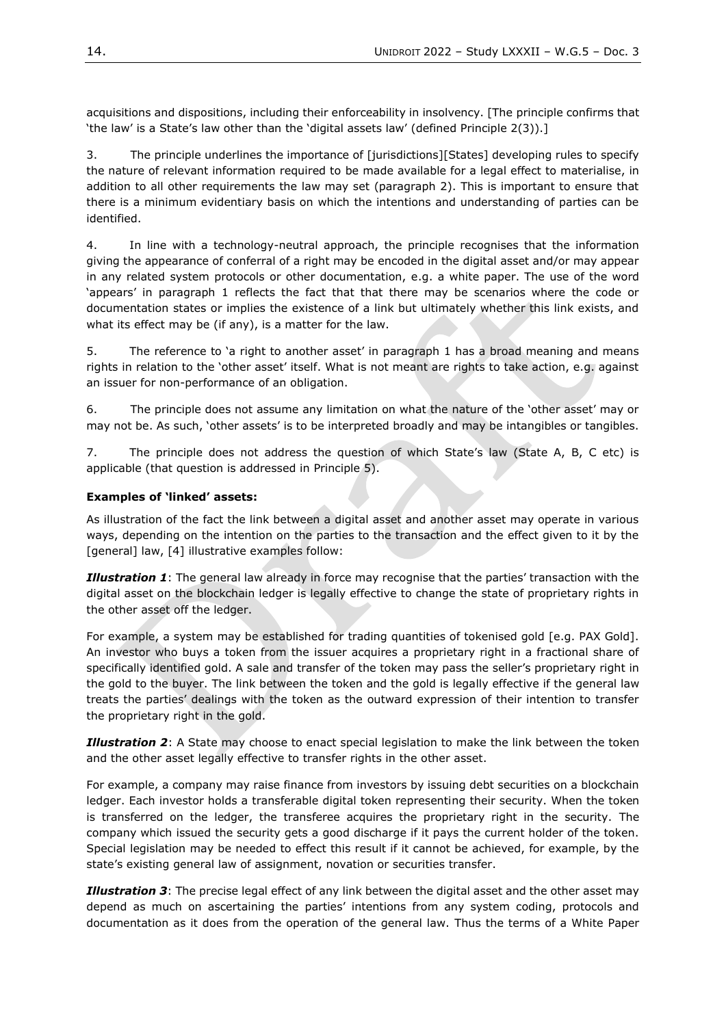acquisitions and dispositions, including their enforceability in insolvency. [The principle confirms that 'the law' is a State's law other than the 'digital assets law' (defined Principle 2(3)).]

3. The principle underlines the importance of [jurisdictions][States] developing rules to specify the nature of relevant information required to be made available for a legal effect to materialise, in addition to all other requirements the law may set (paragraph 2). This is important to ensure that there is a minimum evidentiary basis on which the intentions and understanding of parties can be identified.

4. In line with a technology-neutral approach, the principle recognises that the information giving the appearance of conferral of a right may be encoded in the digital asset and/or may appear in any related system protocols or other documentation, e.g. a white paper. The use of the word 'appears' in paragraph 1 reflects the fact that that there may be scenarios where the code or documentation states or implies the existence of a link but ultimately whether this link exists, and what its effect may be (if any), is a matter for the law.

5. The reference to 'a right to another asset' in paragraph 1 has a broad meaning and means rights in relation to the 'other asset' itself. What is not meant are rights to take action, e.g. against an issuer for non-performance of an obligation.

6. The principle does not assume any limitation on what the nature of the 'other asset' may or may not be. As such, 'other assets' is to be interpreted broadly and may be intangibles or tangibles.

7. The principle does not address the question of which State's law (State A, B, C etc) is applicable (that question is addressed in Principle 5).

#### **Examples of 'linked' assets:**

As illustration of the fact the link between a digital asset and another asset may operate in various ways, depending on the intention on the parties to the transaction and the effect given to it by the [general] law, [4] illustrative examples follow:

*Illustration 1*: The general law already in force may recognise that the parties' transaction with the digital asset on the blockchain ledger is legally effective to change the state of proprietary rights in the other asset off the ledger.

For example, a system may be established for trading quantities of tokenised gold [e.g. PAX Gold]. An investor who buys a token from the issuer acquires a proprietary right in a fractional share of specifically identified gold. A sale and transfer of the token may pass the seller's proprietary right in the gold to the buyer. The link between the token and the gold is legally effective if the general law treats the parties' dealings with the token as the outward expression of their intention to transfer the proprietary right in the gold.

*Illustration 2*: A State may choose to enact special legislation to make the link between the token and the other asset legally effective to transfer rights in the other asset.

For example, a company may raise finance from investors by issuing debt securities on a blockchain ledger. Each investor holds a transferable digital token representing their security. When the token is transferred on the ledger, the transferee acquires the proprietary right in the security. The company which issued the security gets a good discharge if it pays the current holder of the token. Special legislation may be needed to effect this result if it cannot be achieved, for example, by the state's existing general law of assignment, novation or securities transfer.

*Illustration 3*: The precise legal effect of any link between the digital asset and the other asset may depend as much on ascertaining the parties' intentions from any system coding, protocols and documentation as it does from the operation of the general law. Thus the terms of a White Paper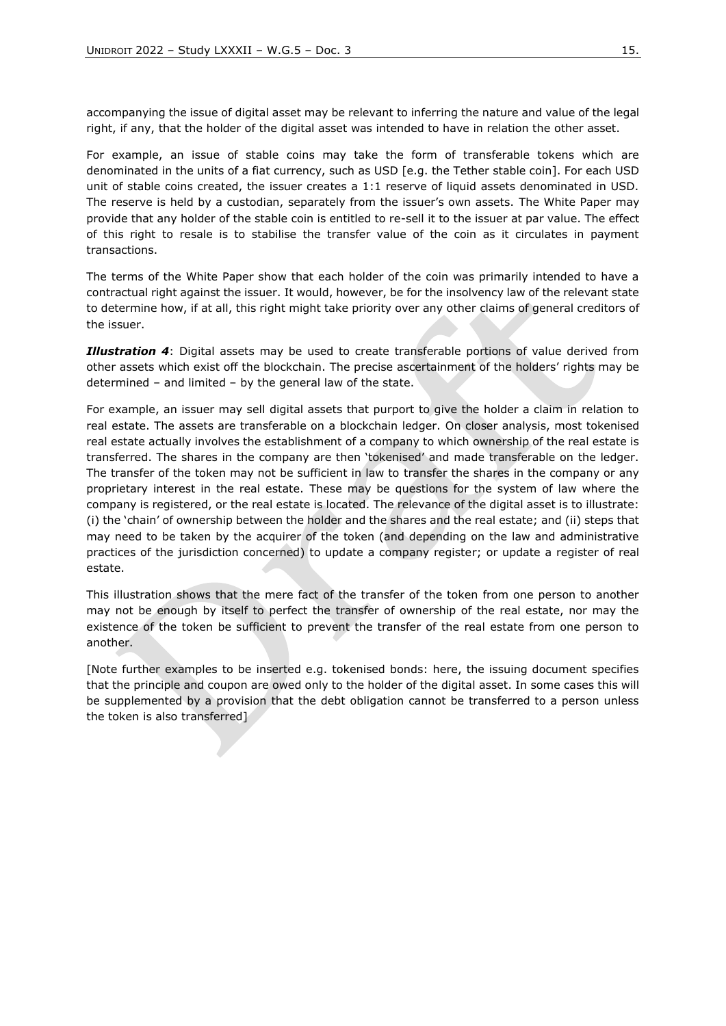accompanying the issue of digital asset may be relevant to inferring the nature and value of the legal right, if any, that the holder of the digital asset was intended to have in relation the other asset.

For example, an issue of stable coins may take the form of transferable tokens which are denominated in the units of a fiat currency, such as USD [e.g. the Tether stable coin]. For each USD unit of stable coins created, the issuer creates a 1:1 reserve of liquid assets denominated in USD. The reserve is held by a custodian, separately from the issuer's own assets. The White Paper may provide that any holder of the stable coin is entitled to re-sell it to the issuer at par value. The effect of this right to resale is to stabilise the transfer value of the coin as it circulates in payment transactions.

The terms of the White Paper show that each holder of the coin was primarily intended to have a contractual right against the issuer. It would, however, be for the insolvency law of the relevant state to determine how, if at all, this right might take priority over any other claims of general creditors of the issuer.

*Illustration 4*: Digital assets may be used to create transferable portions of value derived from other assets which exist off the blockchain. The precise ascertainment of the holders' rights may be determined – and limited – by the general law of the state.

For example, an issuer may sell digital assets that purport to give the holder a claim in relation to real estate. The assets are transferable on a blockchain ledger. On closer analysis, most tokenised real estate actually involves the establishment of a company to which ownership of the real estate is transferred. The shares in the company are then 'tokenised' and made transferable on the ledger. The transfer of the token may not be sufficient in law to transfer the shares in the company or any proprietary interest in the real estate. These may be questions for the system of law where the company is registered, or the real estate is located. The relevance of the digital asset is to illustrate: (i) the 'chain' of ownership between the holder and the shares and the real estate; and (ii) steps that may need to be taken by the acquirer of the token (and depending on the law and administrative practices of the jurisdiction concerned) to update a company register; or update a register of real estate.

This illustration shows that the mere fact of the transfer of the token from one person to another may not be enough by itself to perfect the transfer of ownership of the real estate, nor may the existence of the token be sufficient to prevent the transfer of the real estate from one person to another.

[Note further examples to be inserted e.g. tokenised bonds: here, the issuing document specifies that the principle and coupon are owed only to the holder of the digital asset. In some cases this will be supplemented by a provision that the debt obligation cannot be transferred to a person unless the token is also transferred]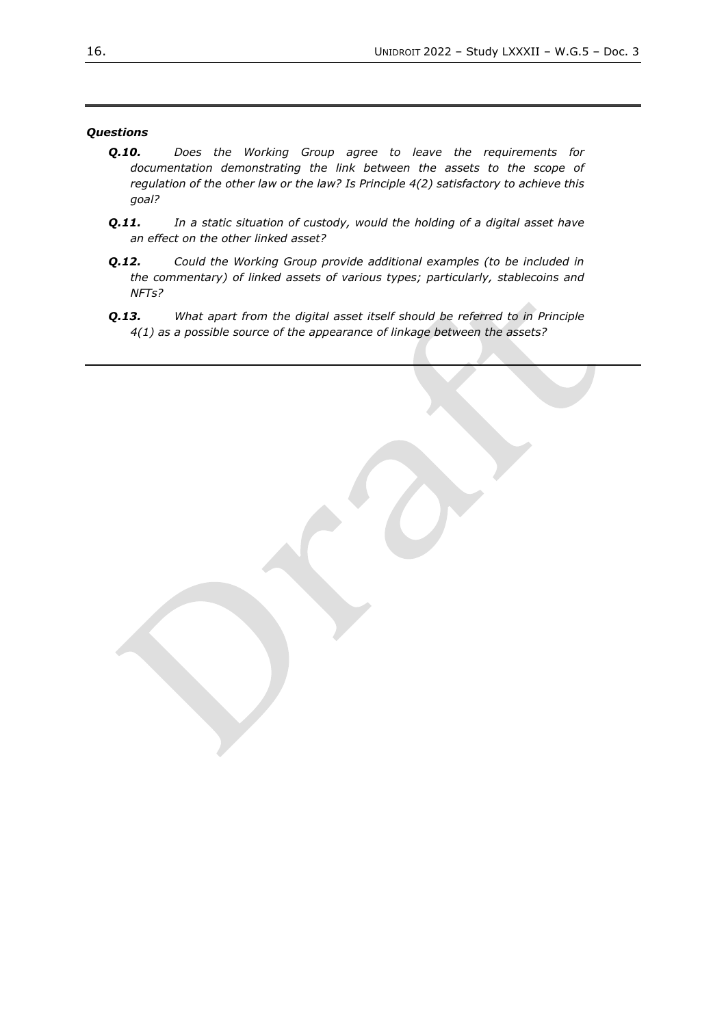### *Questions*

- *Q.10. Does the Working Group agree to leave the requirements for documentation demonstrating the link between the assets to the scope of regulation of the other law or the law? Is Principle 4(2) satisfactory to achieve this goal?*
- *Q.11. In a static situation of custody, would the holding of a digital asset have an effect on the other linked asset?*
- *Q.12. Could the Working Group provide additional examples (to be included in the commentary) of linked assets of various types; particularly, stablecoins and NFTs?*
- *Q.13. What apart from the digital asset itself should be referred to in Principle 4(1) as a possible source of the appearance of linkage between the assets?*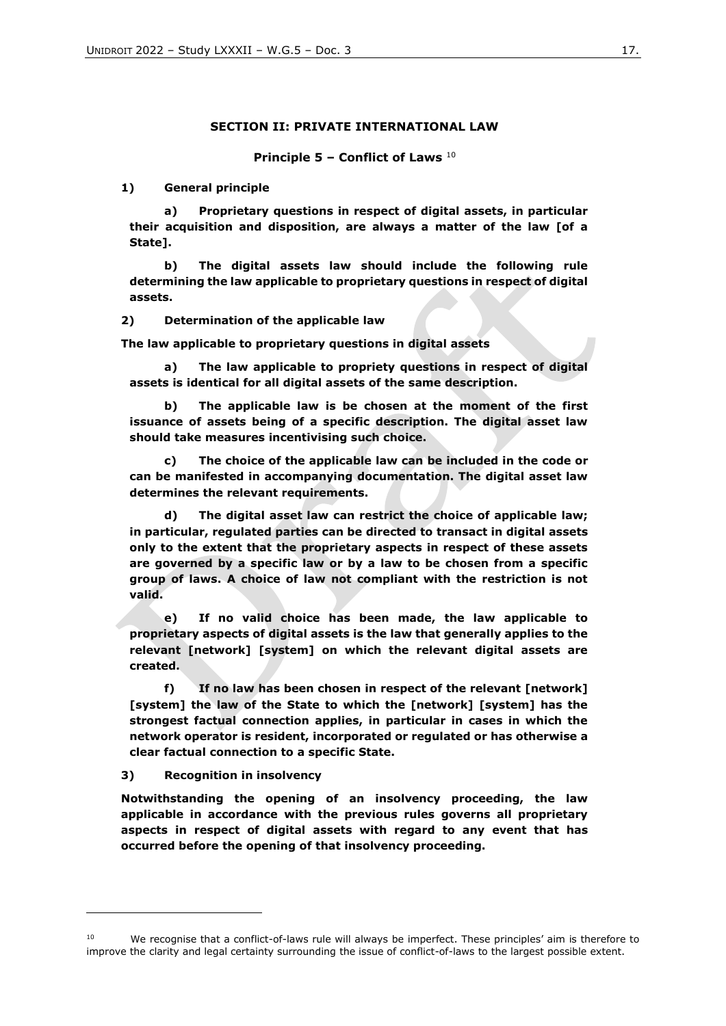#### **SECTION II: PRIVATE INTERNATIONAL LAW**

**Principle 5 – Conflict of Laws** <sup>10</sup>

**1) General principle**

**a) Proprietary questions in respect of digital assets, in particular their acquisition and disposition, are always a matter of the law [of a State].**

**b) The digital assets law should include the following rule determining the law applicable to proprietary questions in respect of digital assets.**

**2) Determination of the applicable law**

**The law applicable to proprietary questions in digital assets**

**a) The law applicable to propriety questions in respect of digital assets is identical for all digital assets of the same description.** 

**b) The applicable law is be chosen at the moment of the first issuance of assets being of a specific description. The digital asset law should take measures incentivising such choice.**

**c) The choice of the applicable law can be included in the code or can be manifested in accompanying documentation. The digital asset law determines the relevant requirements.**

**d) The digital asset law can restrict the choice of applicable law; in particular, regulated parties can be directed to transact in digital assets only to the extent that the proprietary aspects in respect of these assets are governed by a specific law or by a law to be chosen from a specific group of laws. A choice of law not compliant with the restriction is not valid.**

**e) If no valid choice has been made, the law applicable to proprietary aspects of digital assets is the law that generally applies to the relevant [network] [system] on which the relevant digital assets are created.**

**f) If no law has been chosen in respect of the relevant [network] [system] the law of the State to which the [network] [system] has the strongest factual connection applies, in particular in cases in which the network operator is resident, incorporated or regulated or has otherwise a clear factual connection to a specific State.**

**3) Recognition in insolvency**

**Notwithstanding the opening of an insolvency proceeding, the law applicable in accordance with the previous rules governs all proprietary aspects in respect of digital assets with regard to any event that has occurred before the opening of that insolvency proceeding.** 

<sup>10</sup> We recognise that a conflict-of-laws rule will always be imperfect. These principles' aim is therefore to improve the clarity and legal certainty surrounding the issue of conflict-of-laws to the largest possible extent.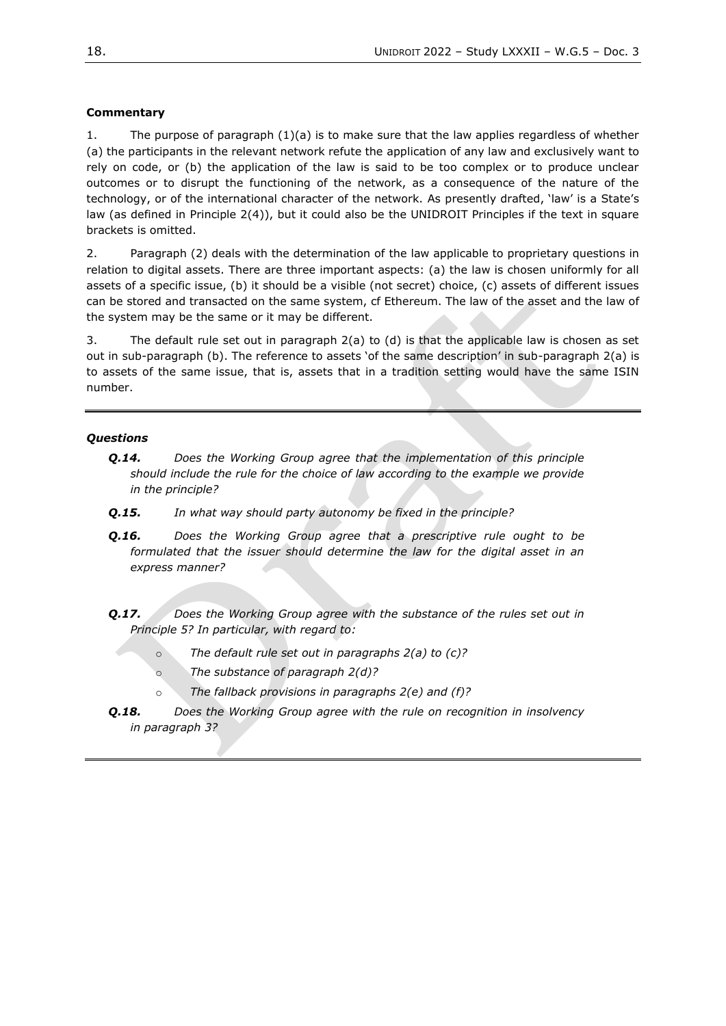### **Commentary**

1. The purpose of paragraph (1)(a) is to make sure that the law applies regardless of whether (a) the participants in the relevant network refute the application of any law and exclusively want to rely on code, or (b) the application of the law is said to be too complex or to produce unclear outcomes or to disrupt the functioning of the network, as a consequence of the nature of the technology, or of the international character of the network. As presently drafted, 'law' is a State's law (as defined in Principle 2(4)), but it could also be the UNIDROIT Principles if the text in square brackets is omitted.

2. Paragraph (2) deals with the determination of the law applicable to proprietary questions in relation to digital assets. There are three important aspects: (a) the law is chosen uniformly for all assets of a specific issue, (b) it should be a visible (not secret) choice, (c) assets of different issues can be stored and transacted on the same system, cf Ethereum. The law of the asset and the law of the system may be the same or it may be different.

3. The default rule set out in paragraph 2(a) to (d) is that the applicable law is chosen as set out in sub-paragraph (b). The reference to assets 'of the same description' in sub-paragraph 2(a) is to assets of the same issue, that is, assets that in a tradition setting would have the same ISIN number.

#### *Questions*

- *Q.14. Does the Working Group agree that the implementation of this principle should include the rule for the choice of law according to the example we provide in the principle?*
- *Q.15. In what way should party autonomy be fixed in the principle?*
- *Q.16. Does the Working Group agree that a prescriptive rule ought to be formulated that the issuer should determine the law for the digital asset in an express manner?*
- *Q.17. Does the Working Group agree with the substance of the rules set out in Principle 5? In particular, with regard to:* 
	- o *The default rule set out in paragraphs 2(a) to (c)?*
	- o *The substance of paragraph 2(d)?*
	- o *The fallback provisions in paragraphs 2(e) and (f)?*
- *Q.18. Does the Working Group agree with the rule on recognition in insolvency in paragraph 3?*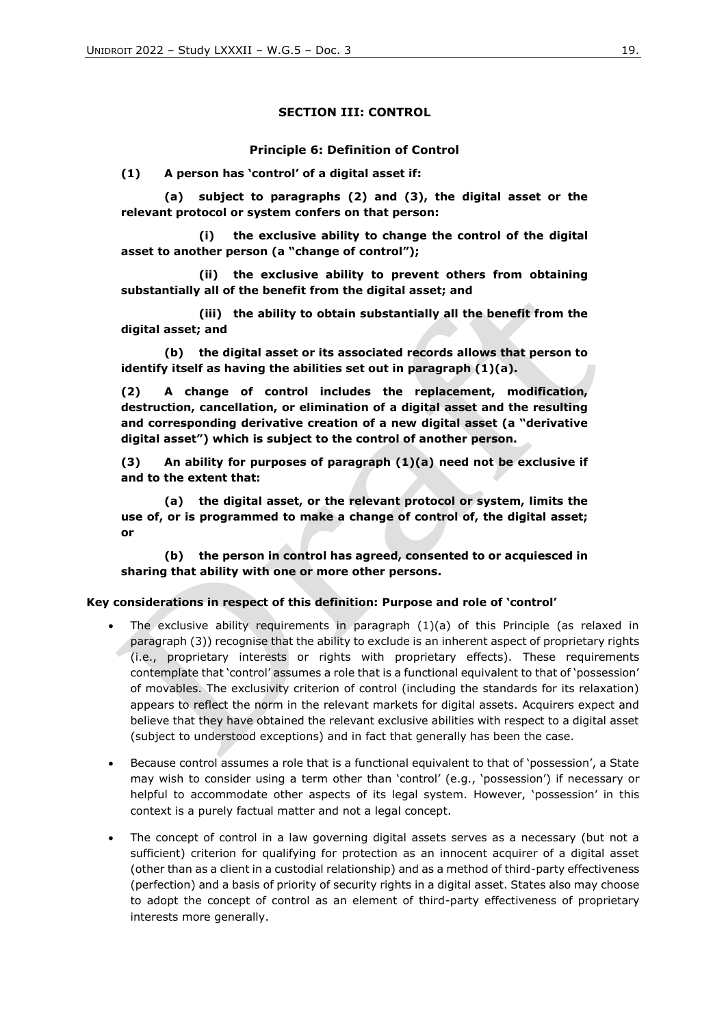### **SECTION III: CONTROL**

#### **Principle 6: Definition of Control**

**(1) A person has 'control' of a digital asset if:**

**(a) subject to paragraphs (2) and (3), the digital asset or the relevant protocol or system confers on that person:**

**(i) the exclusive ability to change the control of the digital asset to another person (a "change of control");** 

**(ii) the exclusive ability to prevent others from obtaining substantially all of the benefit from the digital asset; and**

**(iii) the ability to obtain substantially all the benefit from the digital asset; and**

**(b) the digital asset or its associated records allows that person to identify itself as having the abilities set out in paragraph (1)(a).**

**(2) A change of control includes the replacement, modification, destruction, cancellation, or elimination of a digital asset and the resulting and corresponding derivative creation of a new digital asset (a "derivative digital asset") which is subject to the control of another person.**

**(3) An ability for purposes of paragraph (1)(a) need not be exclusive if and to the extent that:**

**(a) the digital asset, or the relevant protocol or system, limits the use of, or is programmed to make a change of control of, the digital asset; or**

**(b) the person in control has agreed, consented to or acquiesced in sharing that ability with one or more other persons.**

#### **Key considerations in respect of this definition: Purpose and role of 'control'**

- The exclusive ability requirements in paragraph  $(1)(a)$  of this Principle (as relaxed in paragraph (3)) recognise that the ability to exclude is an inherent aspect of proprietary rights (i.e., proprietary interests or rights with proprietary effects). These requirements contemplate that 'control' assumes a role that is a functional equivalent to that of 'possession' of movables. The exclusivity criterion of control (including the standards for its relaxation) appears to reflect the norm in the relevant markets for digital assets. Acquirers expect and believe that they have obtained the relevant exclusive abilities with respect to a digital asset (subject to understood exceptions) and in fact that generally has been the case.
- Because control assumes a role that is a functional equivalent to that of 'possession', a State may wish to consider using a term other than 'control' (e.g., 'possession') if necessary or helpful to accommodate other aspects of its legal system. However, 'possession' in this context is a purely factual matter and not a legal concept.
- The concept of control in a law governing digital assets serves as a necessary (but not a sufficient) criterion for qualifying for protection as an innocent acquirer of a digital asset (other than as a client in a custodial relationship) and as a method of third-party effectiveness (perfection) and a basis of priority of security rights in a digital asset. States also may choose to adopt the concept of control as an element of third-party effectiveness of proprietary interests more generally.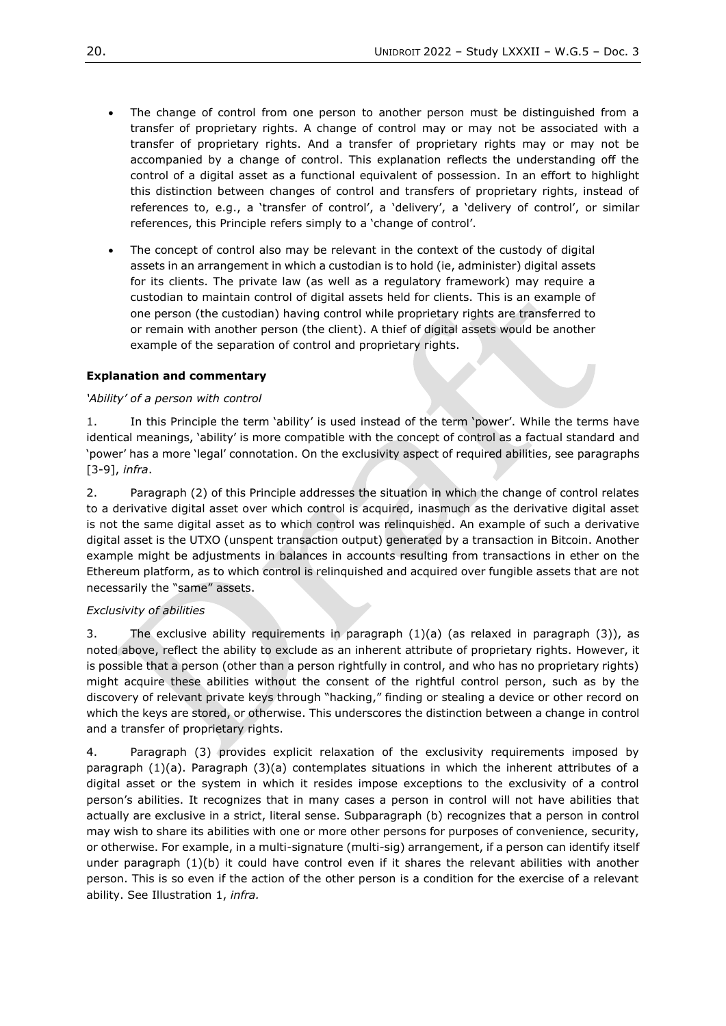- The change of control from one person to another person must be distinguished from a transfer of proprietary rights. A change of control may or may not be associated with a transfer of proprietary rights. And a transfer of proprietary rights may or may not be accompanied by a change of control. This explanation reflects the understanding off the control of a digital asset as a functional equivalent of possession. In an effort to highlight this distinction between changes of control and transfers of proprietary rights, instead of references to, e.g., a 'transfer of control', a 'delivery', a 'delivery of control', or similar references, this Principle refers simply to a 'change of control'.
- The concept of control also may be relevant in the context of the custody of digital assets in an arrangement in which a custodian is to hold (ie, administer) digital assets for its clients. The private law (as well as a regulatory framework) may require a custodian to maintain control of digital assets held for clients. This is an example of one person (the custodian) having control while proprietary rights are transferred to or remain with another person (the client). A thief of digital assets would be another example of the separation of control and proprietary rights.

# **Explanation and commentary**

### *'Ability' of a person with control*

1. In this Principle the term 'ability' is used instead of the term 'power'. While the terms have identical meanings, 'ability' is more compatible with the concept of control as a factual standard and 'power' has a more 'legal' connotation. On the exclusivity aspect of required abilities, see paragraphs [3-9], *infra*.

2. Paragraph (2) of this Principle addresses the situation in which the change of control relates to a derivative digital asset over which control is acquired, inasmuch as the derivative digital asset is not the same digital asset as to which control was relinquished. An example of such a derivative digital asset is the UTXO (unspent transaction output) generated by a transaction in Bitcoin. Another example might be adjustments in balances in accounts resulting from transactions in ether on the Ethereum platform, as to which control is relinquished and acquired over fungible assets that are not necessarily the "same" assets.

### *Exclusivity of abilities*

3. The exclusive ability requirements in paragraph (1)(a) (as relaxed in paragraph (3)), as noted above, reflect the ability to exclude as an inherent attribute of proprietary rights. However, it is possible that a person (other than a person rightfully in control, and who has no proprietary rights) might acquire these abilities without the consent of the rightful control person, such as by the discovery of relevant private keys through "hacking," finding or stealing a device or other record on which the keys are stored, or otherwise. This underscores the distinction between a change in control and a transfer of proprietary rights.

4. Paragraph (3) provides explicit relaxation of the exclusivity requirements imposed by paragraph (1)(a). Paragraph (3)(a) contemplates situations in which the inherent attributes of a digital asset or the system in which it resides impose exceptions to the exclusivity of a control person's abilities. It recognizes that in many cases a person in control will not have abilities that actually are exclusive in a strict, literal sense. Subparagraph (b) recognizes that a person in control may wish to share its abilities with one or more other persons for purposes of convenience, security, or otherwise. For example, in a multi-signature (multi-sig) arrangement, if a person can identify itself under paragraph (1)(b) it could have control even if it shares the relevant abilities with another person. This is so even if the action of the other person is a condition for the exercise of a relevant ability. See Illustration 1, *infra.*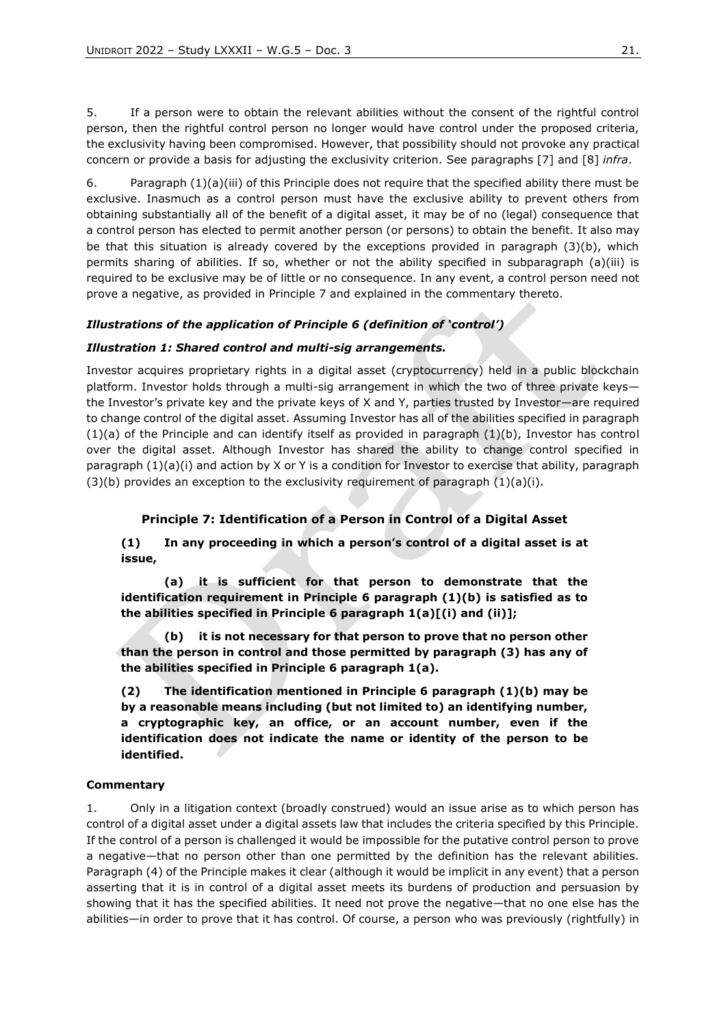5. If a person were to obtain the relevant abilities without the consent of the rightful control person, then the rightful control person no longer would have control under the proposed criteria, the exclusivity having been compromised. However, that possibility should not provoke any practical concern or provide a basis for adjusting the exclusivity criterion. See paragraphs [7] and [8] *infra*.

6. Paragraph (1)(a)(iii) of this Principle does not require that the specified ability there must be exclusive. Inasmuch as a control person must have the exclusive ability to prevent others from obtaining substantially all of the benefit of a digital asset, it may be of no (legal) consequence that a control person has elected to permit another person (or persons) to obtain the benefit. It also may be that this situation is already covered by the exceptions provided in paragraph (3)(b), which permits sharing of abilities. If so, whether or not the ability specified in subparagraph (a)(iii) is required to be exclusive may be of little or no consequence. In any event, a control person need not prove a negative, as provided in Principle 7 and explained in the commentary thereto*.*

### *Illustrations of the application of Principle 6 (definition of 'control')*

#### *Illustration 1: Shared control and multi-sig arrangements.*

Investor acquires proprietary rights in a digital asset (cryptocurrency) held in a public blockchain platform. Investor holds through a multi-sig arrangement in which the two of three private keys the Investor's private key and the private keys of X and Y, parties trusted by Investor—are required to change control of the digital asset. Assuming Investor has all of the abilities specified in paragraph  $(1)(a)$  of the Principle and can identify itself as provided in paragraph  $(1)(b)$ , Investor has control over the digital asset. Although Investor has shared the ability to change control specified in paragraph (1)(a)(i) and action by X or Y is a condition for Investor to exercise that ability, paragraph  $(3)(b)$  provides an exception to the exclusivity requirement of paragraph  $(1)(a)(i)$ .

### **Principle 7: Identification of a Person in Control of a Digital Asset**

**(1) In any proceeding in which a person's control of a digital asset is at issue,** 

**(a) it is sufficient for that person to demonstrate that the identification requirement in Principle 6 paragraph (1)(b) is satisfied as to the abilities specified in Principle 6 paragraph 1(a)[(i) and (ii)];** 

**(b) it is not necessary for that person to prove that no person other than the person in control and those permitted by paragraph (3) has any of the abilities specified in Principle 6 paragraph 1(a).** 

**(2) The identification mentioned in Principle 6 paragraph (1)(b) may be by a reasonable means including (but not limited to) an identifying number, a cryptographic key, an office, or an account number, even if the identification does not indicate the name or identity of the person to be identified.**

#### **Commentary**

1. Only in a litigation context (broadly construed) would an issue arise as to which person has control of a digital asset under a digital assets law that includes the criteria specified by this Principle. If the control of a person is challenged it would be impossible for the putative control person to prove a negative—that no person other than one permitted by the definition has the relevant abilities. Paragraph (4) of the Principle makes it clear (although it would be implicit in any event) that a person asserting that it is in control of a digital asset meets its burdens of production and persuasion by showing that it has the specified abilities. It need not prove the negative—that no one else has the abilities—in order to prove that it has control. Of course, a person who was previously (rightfully) in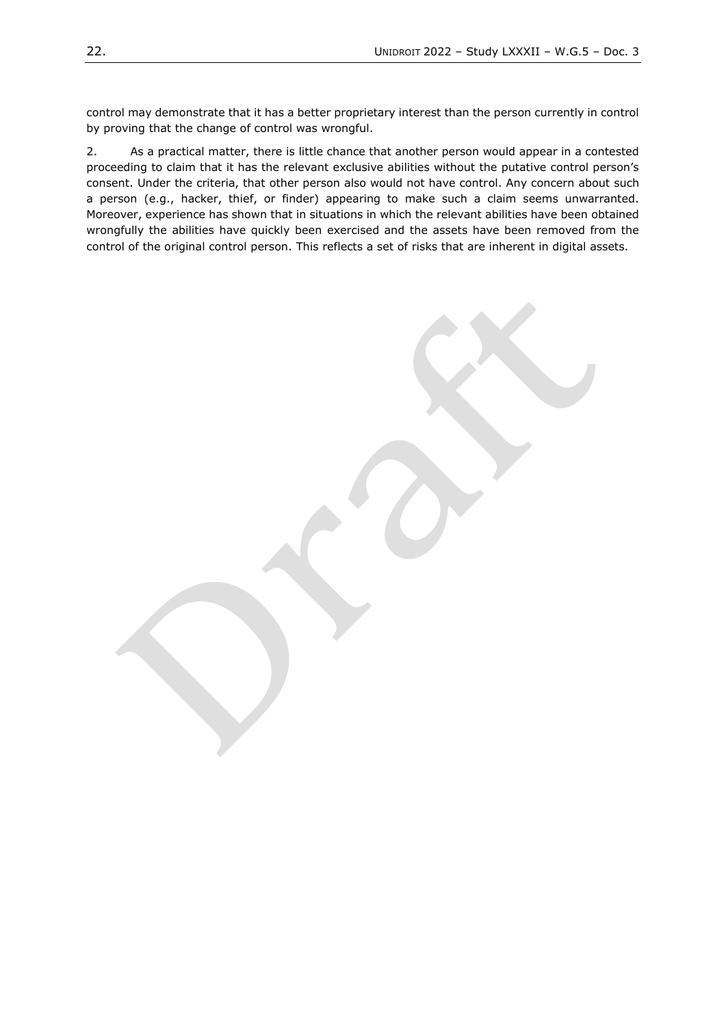control may demonstrate that it has a better proprietary interest than the person currently in control by proving that the change of control was wrongful.

2. As a practical matter, there is little chance that another person would appear in a contested proceeding to claim that it has the relevant exclusive abilities without the putative control person's consent. Under the criteria, that other person also would not have control. Any concern about such a person (e.g., hacker, thief, or finder) appearing to make such a claim seems unwarranted. Moreover, experience has shown that in situations in which the relevant abilities have been obtained wrongfully the abilities have quickly been exercised and the assets have been removed from the control of the original control person. This reflects a set of risks that are inherent in digital assets.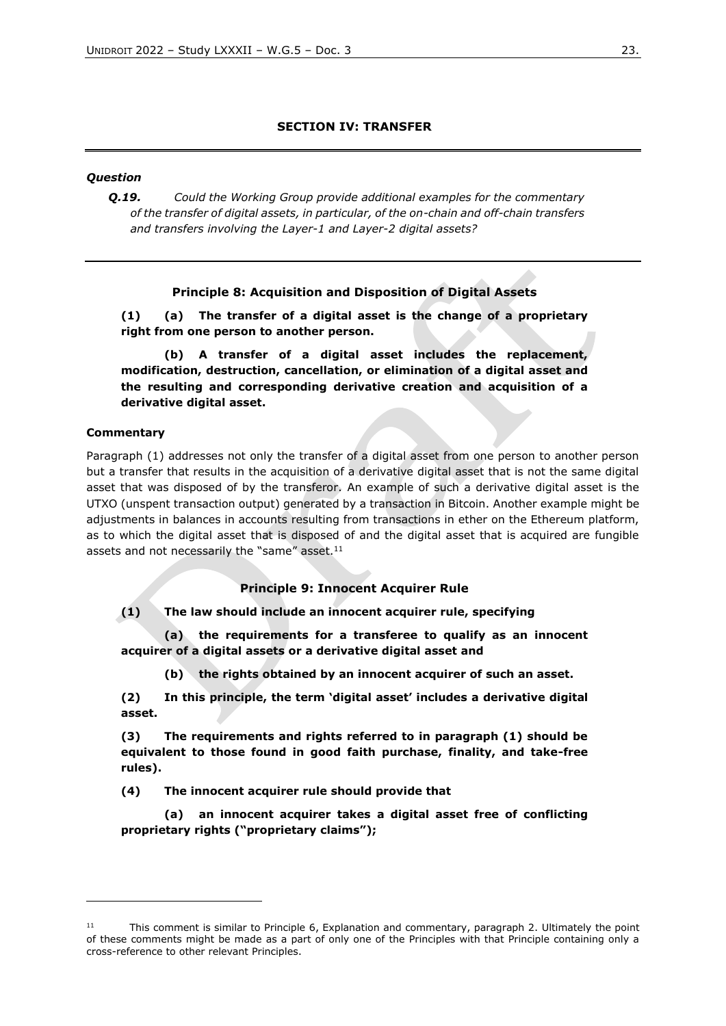### **SECTION IV: TRANSFER**

#### *Question*

*Q.19. Could the Working Group provide additional examples for the commentary of the transfer of digital assets, in particular, of the on-chain and off-chain transfers and transfers involving the Layer-1 and Layer-2 digital assets?*

### **Principle 8: Acquisition and Disposition of Digital Assets**

**(1) (a) The transfer of a digital asset is the change of a proprietary right from one person to another person.**

**(b) A transfer of a digital asset includes the replacement, modification, destruction, cancellation, or elimination of a digital asset and the resulting and corresponding derivative creation and acquisition of a derivative digital asset.**

#### **Commentary**

Paragraph (1) addresses not only the transfer of a digital asset from one person to another person but a transfer that results in the acquisition of a derivative digital asset that is not the same digital asset that was disposed of by the transferor. An example of such a derivative digital asset is the UTXO (unspent transaction output) generated by a transaction in Bitcoin. Another example might be adjustments in balances in accounts resulting from transactions in ether on the Ethereum platform, as to which the digital asset that is disposed of and the digital asset that is acquired are fungible assets and not necessarily the "same" asset.<sup>11</sup>

#### **Principle 9: Innocent Acquirer Rule**

**(1) The law should include an innocent acquirer rule, specifying** 

**(a) the requirements for a transferee to qualify as an innocent acquirer of a digital assets or a derivative digital asset and** 

**(b) the rights obtained by an innocent acquirer of such an asset.**

**(2) In this principle, the term 'digital asset' includes a derivative digital asset.**

**(3) The requirements and rights referred to in paragraph (1) should be equivalent to those found in good faith purchase, finality, and take-free rules).**

**(4) The innocent acquirer rule should provide that** 

**(a) an innocent acquirer takes a digital asset free of conflicting proprietary rights ("proprietary claims");**

 $11$  This comment is similar to Principle 6, Explanation and commentary, paragraph 2. Ultimately the point of these comments might be made as a part of only one of the Principles with that Principle containing only a cross-reference to other relevant Principles.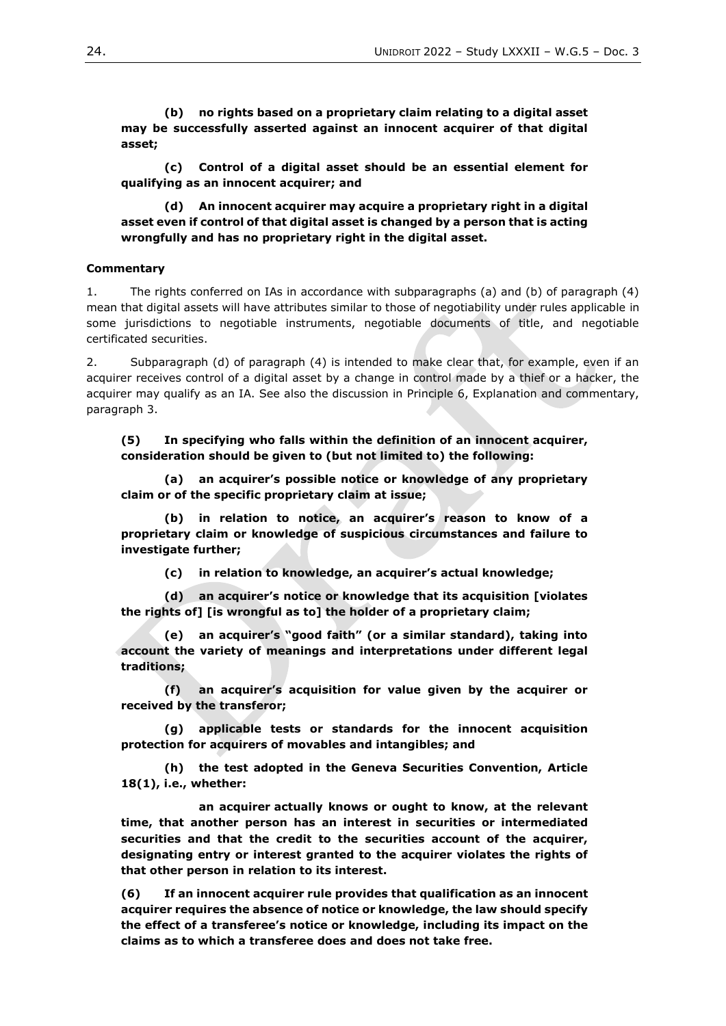**(b) no rights based on a proprietary claim relating to a digital asset may be successfully asserted against an innocent acquirer of that digital asset;**

**(c) Control of a digital asset should be an essential element for qualifying as an innocent acquirer; and** 

**(d) An innocent acquirer may acquire a proprietary right in a digital asset even if control of that digital asset is changed by a person that is acting wrongfully and has no proprietary right in the digital asset.**

#### **Commentary**

1. The rights conferred on IAs in accordance with subparagraphs (a) and (b) of paragraph (4) mean that digital assets will have attributes similar to those of negotiability under rules applicable in some jurisdictions to negotiable instruments, negotiable documents of title, and negotiable certificated securities.

2. Subparagraph (d) of paragraph (4) is intended to make clear that, for example, even if an acquirer receives control of a digital asset by a change in control made by a thief or a hacker, the acquirer may qualify as an IA. See also the discussion in Principle 6, Explanation and commentary, paragraph 3.

**(5) In specifying who falls within the definition of an innocent acquirer, consideration should be given to (but not limited to) the following:**

**(a) an acquirer's possible notice or knowledge of any proprietary claim or of the specific proprietary claim at issue;**

**(b) in relation to notice, an acquirer's reason to know of a proprietary claim or knowledge of suspicious circumstances and failure to investigate further;**

**(c) in relation to knowledge, an acquirer's actual knowledge;**

**(d) an acquirer's notice or knowledge that its acquisition [violates the rights of] [is wrongful as to] the holder of a proprietary claim;**

**(e) an acquirer's "good faith" (or a similar standard), taking into account the variety of meanings and interpretations under different legal traditions;**

**(f) an acquirer's acquisition for value given by the acquirer or received by the transferor;**

**(g) applicable tests or standards for the innocent acquisition protection for acquirers of movables and intangibles; and**

**(h) the test adopted in the Geneva Securities Convention, Article 18(1), i.e., whether:**

**an acquirer actually knows or ought to know, at the relevant time, that another person has an interest in securities or intermediated securities and that the credit to the securities account of the acquirer, designating entry or interest granted to the acquirer violates the rights of that other person in relation to its interest.**

**(6) If an innocent acquirer rule provides that qualification as an innocent acquirer requires the absence of notice or knowledge, the law should specify the effect of a transferee's notice or knowledge, including its impact on the claims as to which a transferee does and does not take free.**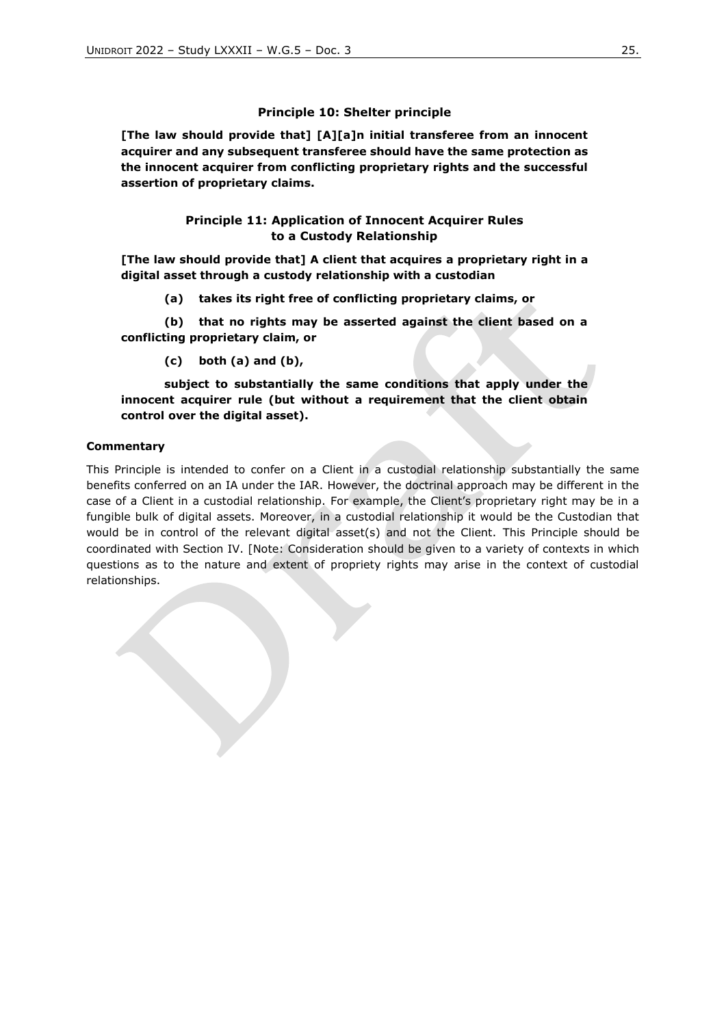### **Principle 10: Shelter principle**

**[The law should provide that] [A][a]n initial transferee from an innocent acquirer and any subsequent transferee should have the same protection as the innocent acquirer from conflicting proprietary rights and the successful assertion of proprietary claims.**

### **Principle 11: Application of Innocent Acquirer Rules to a Custody Relationship**

**[The law should provide that] A client that acquires a proprietary right in a digital asset through a custody relationship with a custodian**

**(a) takes its right free of conflicting proprietary claims, or** 

**(b) that no rights may be asserted against the client based on a conflicting proprietary claim, or** 

**(c) both (a) and (b),** 

**subject to substantially the same conditions that apply under the innocent acquirer rule (but without a requirement that the client obtain control over the digital asset).**

#### **Commentary**

This Principle is intended to confer on a Client in a custodial relationship substantially the same benefits conferred on an IA under the IAR. However, the doctrinal approach may be different in the case of a Client in a custodial relationship. For example, the Client's proprietary right may be in a fungible bulk of digital assets. Moreover, in a custodial relationship it would be the Custodian that would be in control of the relevant digital asset(s) and not the Client. This Principle should be coordinated with Section IV. [Note: Consideration should be given to a variety of contexts in which questions as to the nature and extent of propriety rights may arise in the context of custodial relationships.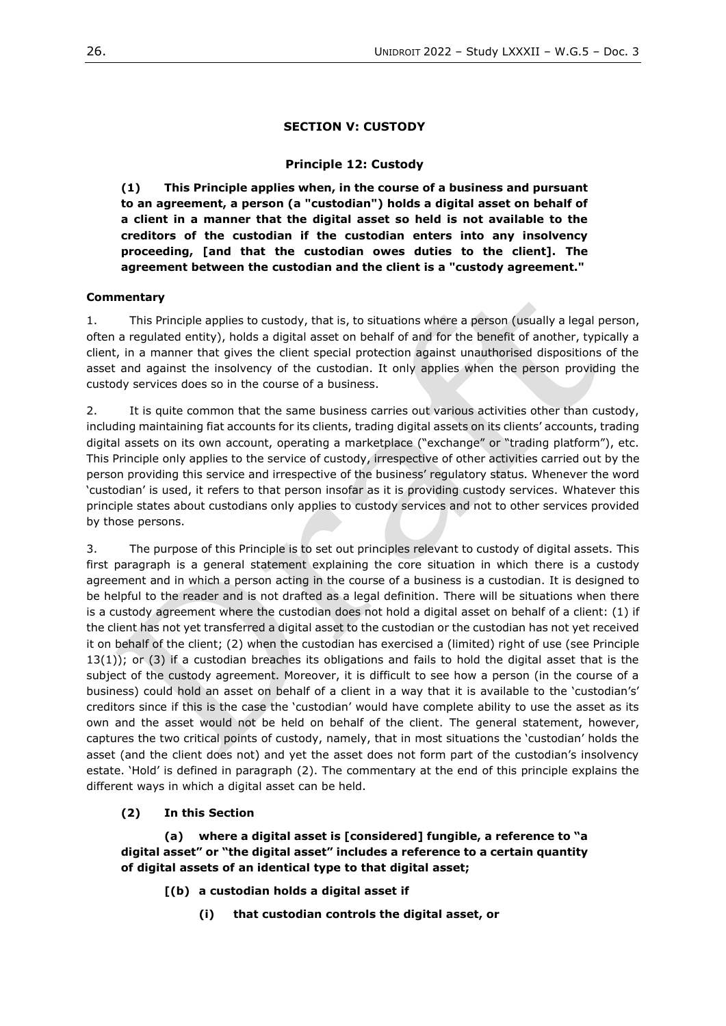### **SECTION V: CUSTODY**

### **Principle 12: Custody**

**(1) This Principle applies when, in the course of a business and pursuant to an agreement, a person (a "custodian") holds a digital asset on behalf of a client in a manner that the digital asset so held is not available to the creditors of the custodian if the custodian enters into any insolvency proceeding, [and that the custodian owes duties to the client]. The agreement between the custodian and the client is a "custody agreement."**

#### **Commentary**

1. This Principle applies to custody, that is, to situations where a person (usually a legal person, often a regulated entity), holds a digital asset on behalf of and for the benefit of another, typically a client, in a manner that gives the client special protection against unauthorised dispositions of the asset and against the insolvency of the custodian. It only applies when the person providing the custody services does so in the course of a business.

2. It is quite common that the same business carries out various activities other than custody, including maintaining fiat accounts for its clients, trading digital assets on its clients' accounts, trading digital assets on its own account, operating a marketplace ("exchange" or "trading platform"), etc. This Principle only applies to the service of custody, irrespective of other activities carried out by the person providing this service and irrespective of the business' regulatory status. Whenever the word 'custodian' is used, it refers to that person insofar as it is providing custody services. Whatever this principle states about custodians only applies to custody services and not to other services provided by those persons.

3. The purpose of this Principle is to set out principles relevant to custody of digital assets. This first paragraph is a general statement explaining the core situation in which there is a custody agreement and in which a person acting in the course of a business is a custodian. It is designed to be helpful to the reader and is not drafted as a legal definition. There will be situations when there is a custody agreement where the custodian does not hold a digital asset on behalf of a client: (1) if the client has not yet transferred a digital asset to the custodian or the custodian has not yet received it on behalf of the client; (2) when the custodian has exercised a (limited) right of use (see Principle 13(1)); or (3) if a custodian breaches its obligations and fails to hold the digital asset that is the subject of the custody agreement. Moreover, it is difficult to see how a person (in the course of a business) could hold an asset on behalf of a client in a way that it is available to the 'custodian's' creditors since if this is the case the 'custodian' would have complete ability to use the asset as its own and the asset would not be held on behalf of the client. The general statement, however, captures the two critical points of custody, namely, that in most situations the 'custodian' holds the asset (and the client does not) and yet the asset does not form part of the custodian's insolvency estate. 'Hold' is defined in paragraph (2). The commentary at the end of this principle explains the different ways in which a digital asset can be held.

#### **(2) In this Section**

**(a) where a digital asset is [considered] fungible, a reference to "a digital asset" or "the digital asset" includes a reference to a certain quantity of digital assets of an identical type to that digital asset;**

- **[(b) a custodian holds a digital asset if** 
	- **(i) that custodian controls the digital asset, or**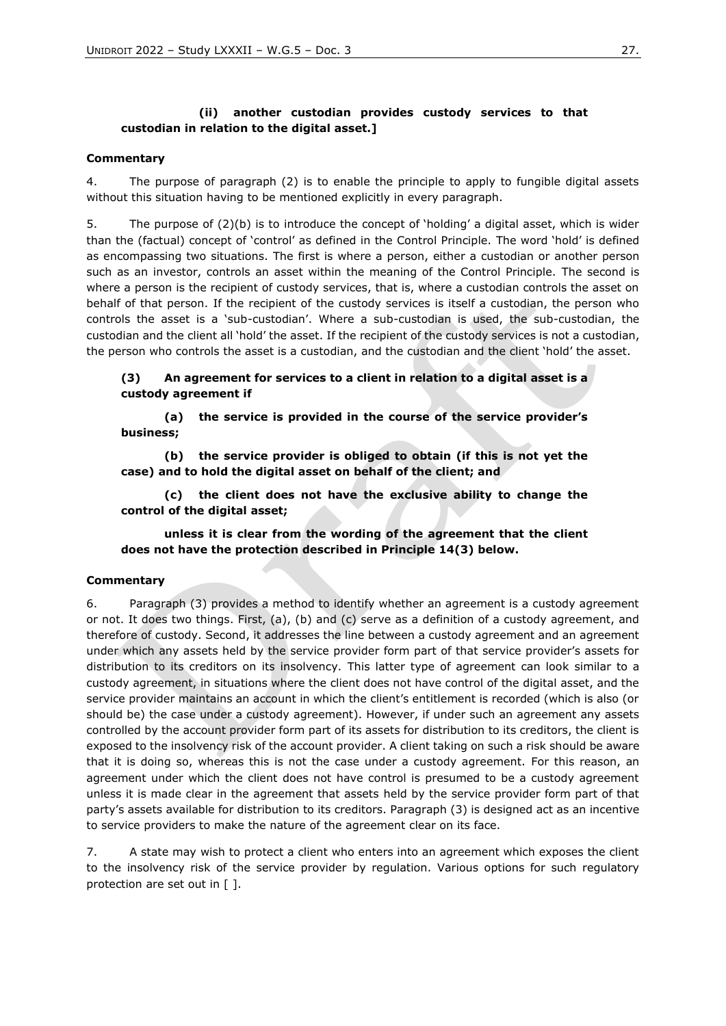### **(ii) another custodian provides custody services to that custodian in relation to the digital asset.]**

#### **Commentary**

4. The purpose of paragraph (2) is to enable the principle to apply to fungible digital assets without this situation having to be mentioned explicitly in every paragraph.

5. The purpose of (2)(b) is to introduce the concept of 'holding' a digital asset, which is wider than the (factual) concept of 'control' as defined in the Control Principle. The word 'hold' is defined as encompassing two situations. The first is where a person, either a custodian or another person such as an investor, controls an asset within the meaning of the Control Principle. The second is where a person is the recipient of custody services, that is, where a custodian controls the asset on behalf of that person. If the recipient of the custody services is itself a custodian, the person who controls the asset is a 'sub-custodian'. Where a sub-custodian is used, the sub-custodian, the custodian and the client all 'hold' the asset. If the recipient of the custody services is not a custodian, the person who controls the asset is a custodian, and the custodian and the client 'hold' the asset.

**(3) An agreement for services to a client in relation to a digital asset is a custody agreement if** 

**(a) the service is provided in the course of the service provider's business;**

**(b) the service provider is obliged to obtain (if this is not yet the case) and to hold the digital asset on behalf of the client; and**

**(c) the client does not have the exclusive ability to change the control of the digital asset;** 

**unless it is clear from the wording of the agreement that the client does not have the protection described in Principle 14(3) below.**

#### **Commentary**

6. Paragraph (3) provides a method to identify whether an agreement is a custody agreement or not. It does two things. First, (a), (b) and (c) serve as a definition of a custody agreement, and therefore of custody. Second, it addresses the line between a custody agreement and an agreement under which any assets held by the service provider form part of that service provider's assets for distribution to its creditors on its insolvency. This latter type of agreement can look similar to a custody agreement, in situations where the client does not have control of the digital asset, and the service provider maintains an account in which the client's entitlement is recorded (which is also (or should be) the case under a custody agreement). However, if under such an agreement any assets controlled by the account provider form part of its assets for distribution to its creditors, the client is exposed to the insolvency risk of the account provider. A client taking on such a risk should be aware that it is doing so, whereas this is not the case under a custody agreement. For this reason, an agreement under which the client does not have control is presumed to be a custody agreement unless it is made clear in the agreement that assets held by the service provider form part of that party's assets available for distribution to its creditors. Paragraph (3) is designed act as an incentive to service providers to make the nature of the agreement clear on its face.

7. A state may wish to protect a client who enters into an agreement which exposes the client to the insolvency risk of the service provider by regulation. Various options for such regulatory protection are set out in [ ].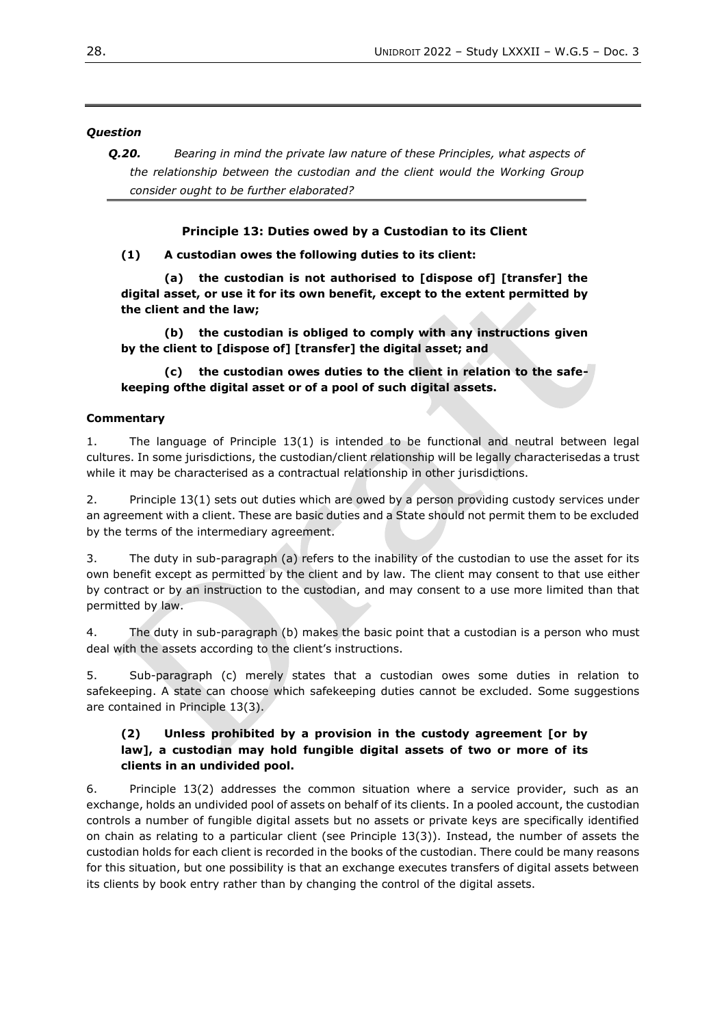### *Question*

*Q.20. Bearing in mind the private law nature of these Principles, what aspects of the relationship between the custodian and the client would the Working Group consider ought to be further elaborated?*

### **Principle 13: Duties owed by a Custodian to its Client**

**(1) A custodian owes the following duties to its client:**

**(a) the custodian is not authorised to [dispose of] [transfer] the digital asset, or use it for its own benefit, except to the extent permitted by the client and the law;**

**(b) the custodian is obliged to comply with any instructions given by the client to [dispose of] [transfer] the digital asset; and**

**(c) the custodian owes duties to the client in relation to the safekeeping ofthe digital asset or of a pool of such digital assets.**

### **Commentary**

1. The language of Principle 13(1) is intended to be functional and neutral between legal cultures. In some jurisdictions, the custodian/client relationship will be legally characterisedas a trust while it may be characterised as a contractual relationship in other jurisdictions.

2. Principle 13(1) sets out duties which are owed by a person providing custody services under an agreement with a client. These are basic duties and a State should not permit them to be excluded by the terms of the intermediary agreement.

3. The duty in sub-paragraph (a) refers to the inability of the custodian to use the asset for its own benefit except as permitted by the client and by law. The client may consent to that use either by contract or by an instruction to the custodian, and may consent to a use more limited than that permitted by law.

4. The duty in sub-paragraph (b) makes the basic point that a custodian is a person who must deal with the assets according to the client's instructions.

5. Sub-paragraph (c) merely states that a custodian owes some duties in relation to safekeeping. A state can choose which safekeeping duties cannot be excluded. Some suggestions are contained in Principle 13(3).

### **(2) Unless prohibited by a provision in the custody agreement [or by law], a custodian may hold fungible digital assets of two or more of its clients in an undivided pool.**

6. Principle 13(2) addresses the common situation where a service provider, such as an exchange, holds an undivided pool of assets on behalf of its clients. In a pooled account, the custodian controls a number of fungible digital assets but no assets or private keys are specifically identified on chain as relating to a particular client (see Principle 13(3)). Instead, the number of assets the custodian holds for each client is recorded in the books of the custodian. There could be many reasons for this situation, but one possibility is that an exchange executes transfers of digital assets between its clients by book entry rather than by changing the control of the digital assets.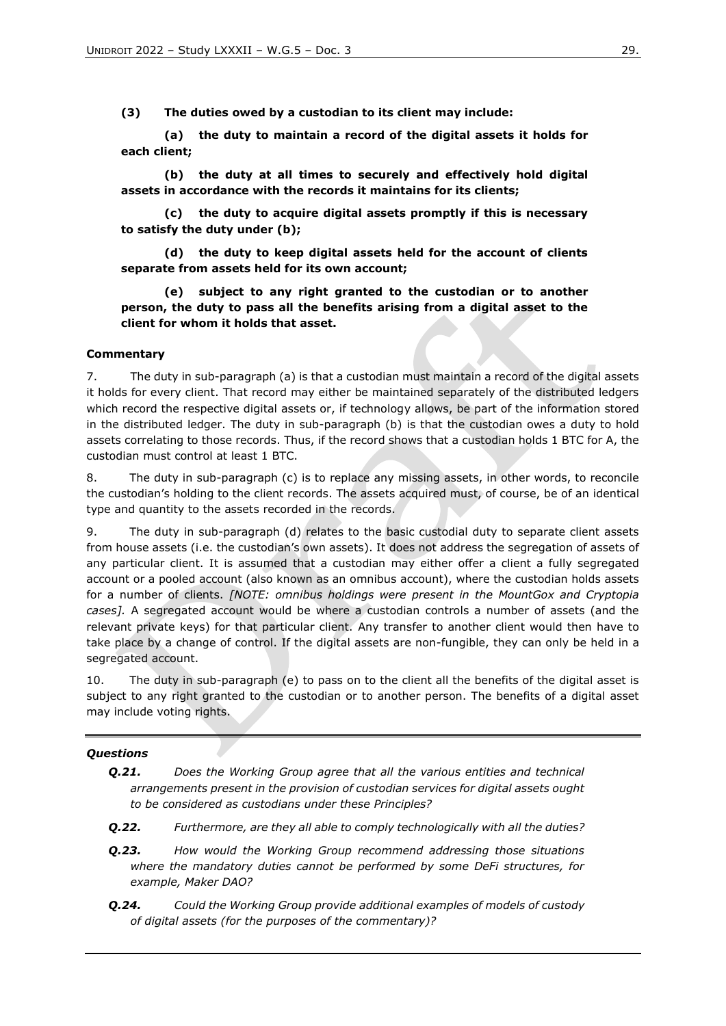**(3) The duties owed by a custodian to its client may include:**

**(a) the duty to maintain a record of the digital assets it holds for each client;**

**(b) the duty at all times to securely and effectively hold digital assets in accordance with the records it maintains for its clients;**

**(c) the duty to acquire digital assets promptly if this is necessary to satisfy the duty under (b);**

**(d) the duty to keep digital assets held for the account of clients separate from assets held for its own account;**

**(e) subject to any right granted to the custodian or to another person, the duty to pass all the benefits arising from a digital asset to the client for whom it holds that asset.**

#### **Commentary**

7. The duty in sub-paragraph (a) is that a custodian must maintain a record of the digital assets it holds for every client. That record may either be maintained separately of the distributed ledgers which record the respective digital assets or, if technology allows, be part of the information stored in the distributed ledger. The duty in sub-paragraph (b) is that the custodian owes a duty to hold assets correlating to those records. Thus, if the record shows that a custodian holds 1 BTC for A, the custodian must control at least 1 BTC.

8. The duty in sub-paragraph (c) is to replace any missing assets, in other words, to reconcile the custodian's holding to the client records. The assets acquired must, of course, be of an identical type and quantity to the assets recorded in the records.

9. The duty in sub-paragraph (d) relates to the basic custodial duty to separate client assets from house assets (i.e. the custodian's own assets). It does not address the segregation of assets of any particular client. It is assumed that a custodian may either offer a client a fully segregated account or a pooled account (also known as an omnibus account), where the custodian holds assets for a number of clients. *[NOTE: omnibus holdings were present in the MountGox and Cryptopia cases].* A segregated account would be where a custodian controls a number of assets (and the relevant private keys) for that particular client. Any transfer to another client would then have to take place by a change of control. If the digital assets are non-fungible, they can only be held in a segregated account.

10. The duty in sub-paragraph (e) to pass on to the client all the benefits of the digital asset is subject to any right granted to the custodian or to another person. The benefits of a digital asset may include voting rights.

#### *Questions*

- *Q.21. Does the Working Group agree that all the various entities and technical arrangements present in the provision of custodian services for digital assets ought to be considered as custodians under these Principles?*
- *Q.22. Furthermore, are they all able to comply technologically with all the duties?*
- *Q.23. How would the Working Group recommend addressing those situations where the mandatory duties cannot be performed by some DeFi structures, for example, Maker DAO?*
- *Q.24. Could the Working Group provide additional examples of models of custody of digital assets (for the purposes of the commentary)?*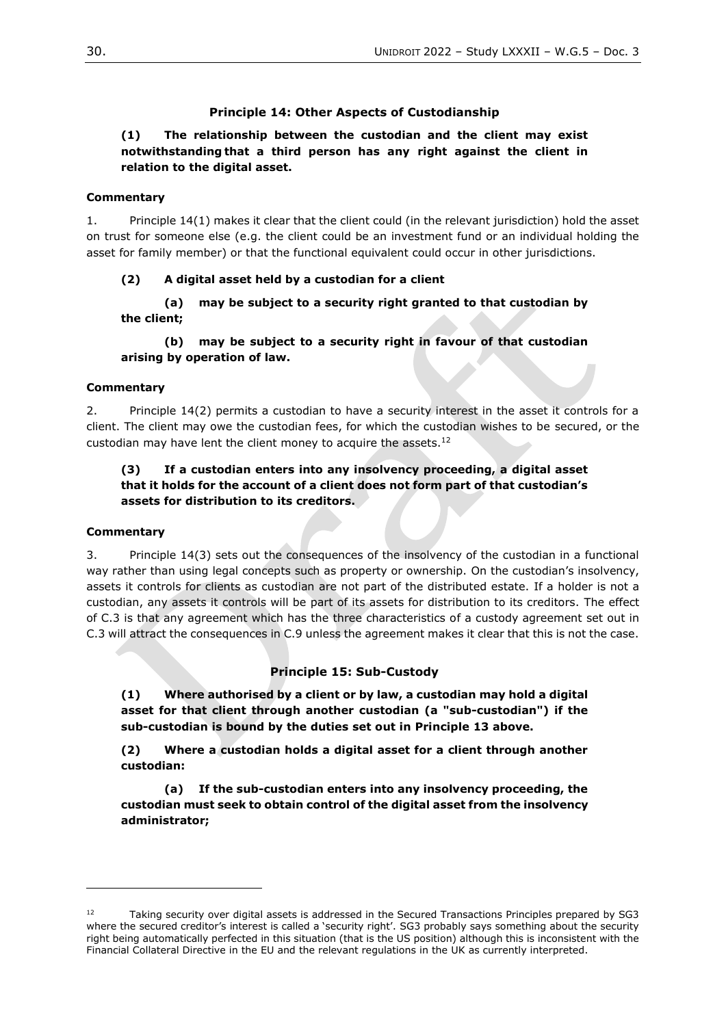### **Principle 14: Other Aspects of Custodianship**

### **(1) The relationship between the custodian and the client may exist notwithstanding that a third person has any right against the client in relation to the digital asset.**

#### **Commentary**

1. Principle 14(1) makes it clear that the client could (in the relevant jurisdiction) hold the asset on trust for someone else (e.g. the client could be an investment fund or an individual holding the asset for family member) or that the functional equivalent could occur in other jurisdictions.

#### **(2) A digital asset held by a custodian for a client**

**(a) may be subject to a security right granted to that custodian by the client;**

**(b) may be subject to a security right in favour of that custodian arising by operation of law.**

#### **Commentary**

2. Principle 14(2) permits a custodian to have a security interest in the asset it controls for a client. The client may owe the custodian fees, for which the custodian wishes to be secured, or the custodian may have lent the client money to acquire the assets.<sup>12</sup>

### **(3) If a custodian enters into any insolvency proceeding, a digital asset that it holds for the account of a client does not form part of that custodian's assets for distribution to its creditors.**

#### **Commentary**

3. Principle 14(3) sets out the consequences of the insolvency of the custodian in a functional way rather than using legal concepts such as property or ownership. On the custodian's insolvency, assets it controls for clients as custodian are not part of the distributed estate. If a holder is not a custodian, any assets it controls will be part of its assets for distribution to its creditors. The effect of C.3 is that any agreement which has the three characteristics of a custody agreement set out in C.3 will attract the consequences in C.9 unless the agreement makes it clear that this is not the case.

#### **Principle 15: Sub-Custody**

**(1) Where authorised by a client or by law, a custodian may hold a digital asset for that client through another custodian (a "sub-custodian") if the sub-custodian is bound by the duties set out in Principle 13 above.**

**(2) Where a custodian holds a digital asset for a client through another custodian:**

**(a) If the sub-custodian enters into any insolvency proceeding, the custodian must seek to obtain control of the digital asset from the insolvency administrator;**

<sup>12</sup> Taking security over digital assets is addressed in the Secured Transactions Principles prepared by SG3 where the secured creditor's interest is called a 'security right'. SG3 probably says something about the security right being automatically perfected in this situation (that is the US position) although this is inconsistent with the Financial Collateral Directive in the EU and the relevant regulations in the UK as currently interpreted.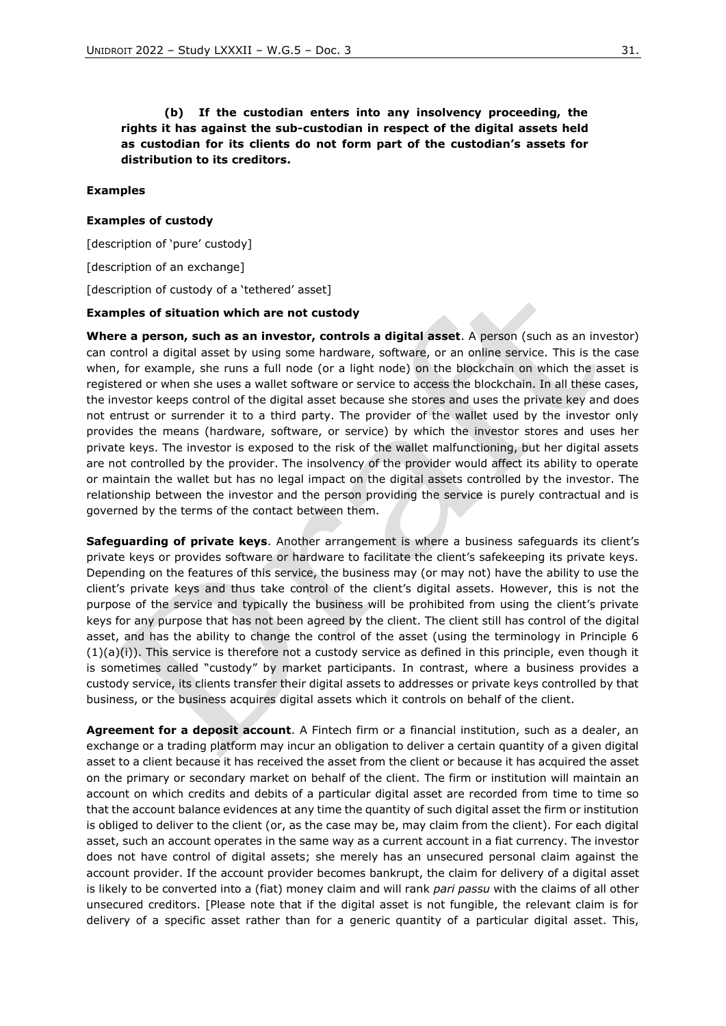**(b) If the custodian enters into any insolvency proceeding, the rights it has against the sub-custodian in respect of the digital assets held as custodian for its clients do not form part of the custodian's assets for distribution to its creditors.**

#### **Examples**

#### **Examples of custody**

[description of 'pure' custody]

[description of an exchange]

[description of custody of a 'tethered' asset]

#### **Examples of situation which are not custody**

**Where a person, such as an investor, controls a digital asset**. A person (such as an investor) can control a digital asset by using some hardware, software, or an online service. This is the case when, for example, she runs a full node (or a light node) on the blockchain on which the asset is registered or when she uses a wallet software or service to access the blockchain. In all these cases, the investor keeps control of the digital asset because she stores and uses the private key and does not entrust or surrender it to a third party. The provider of the wallet used by the investor only provides the means (hardware, software, or service) by which the investor stores and uses her private keys. The investor is exposed to the risk of the wallet malfunctioning, but her digital assets are not controlled by the provider. The insolvency of the provider would affect its ability to operate or maintain the wallet but has no legal impact on the digital assets controlled by the investor. The relationship between the investor and the person providing the service is purely contractual and is governed by the terms of the contact between them.

**Safeguarding of private keys**. Another arrangement is where a business safeguards its client's private keys or provides software or hardware to facilitate the client's safekeeping its private keys. Depending on the features of this service, the business may (or may not) have the ability to use the client's private keys and thus take control of the client's digital assets. However, this is not the purpose of the service and typically the business will be prohibited from using the client's private keys for any purpose that has not been agreed by the client. The client still has control of the digital asset, and has the ability to change the control of the asset (using the terminology in Principle 6  $(1)(a)(i)$ ). This service is therefore not a custody service as defined in this principle, even though it is sometimes called "custody" by market participants. In contrast, where a business provides a custody service, its clients transfer their digital assets to addresses or private keys controlled by that business, or the business acquires digital assets which it controls on behalf of the client.

**Agreement for a deposit account**. A Fintech firm or a financial institution, such as a dealer, an exchange or a trading platform may incur an obligation to deliver a certain quantity of a given digital asset to a client because it has received the asset from the client or because it has acquired the asset on the primary or secondary market on behalf of the client. The firm or institution will maintain an account on which credits and debits of a particular digital asset are recorded from time to time so that the account balance evidences at any time the quantity of such digital asset the firm or institution is obliged to deliver to the client (or, as the case may be, may claim from the client). For each digital asset, such an account operates in the same way as a current account in a fiat currency. The investor does not have control of digital assets; she merely has an unsecured personal claim against the account provider. If the account provider becomes bankrupt, the claim for delivery of a digital asset is likely to be converted into a (fiat) money claim and will rank *pari passu* with the claims of all other unsecured creditors. [Please note that if the digital asset is not fungible, the relevant claim is for delivery of a specific asset rather than for a generic quantity of a particular digital asset. This,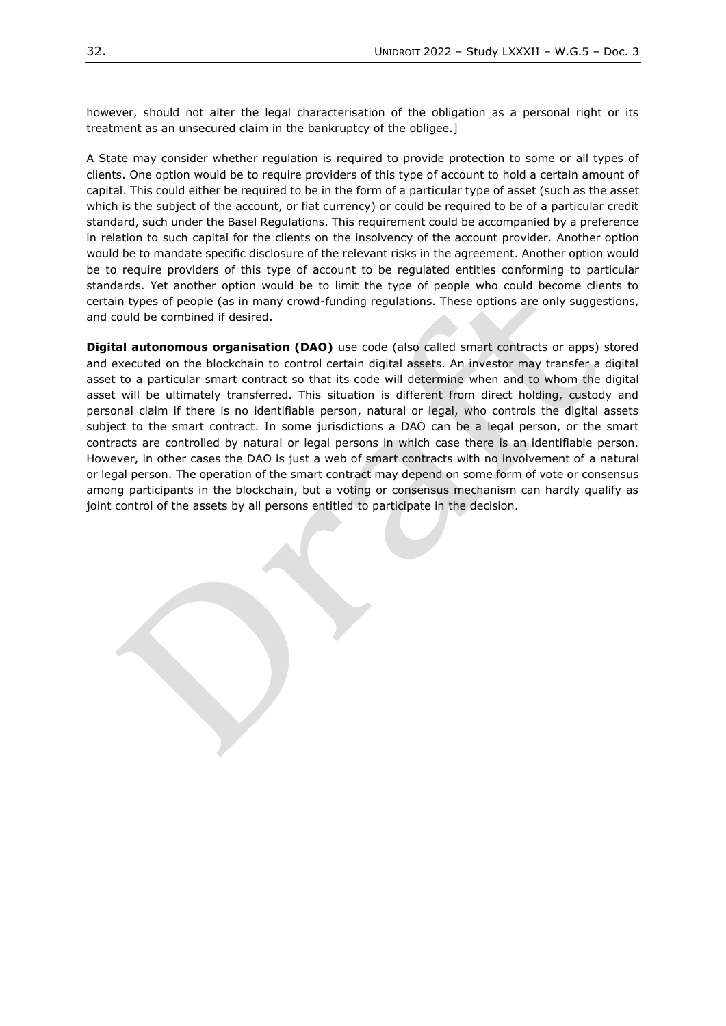however, should not alter the legal characterisation of the obligation as a personal right or its treatment as an unsecured claim in the bankruptcy of the obligee.]

A State may consider whether regulation is required to provide protection to some or all types of clients. One option would be to require providers of this type of account to hold a certain amount of capital. This could either be required to be in the form of a particular type of asset (such as the asset which is the subject of the account, or fiat currency) or could be required to be of a particular credit standard, such under the Basel Regulations. This requirement could be accompanied by a preference in relation to such capital for the clients on the insolvency of the account provider. Another option would be to mandate specific disclosure of the relevant risks in the agreement. Another option would be to require providers of this type of account to be regulated entities conforming to particular standards. Yet another option would be to limit the type of people who could become clients to certain types of people (as in many crowd-funding regulations. These options are only suggestions, and could be combined if desired.

**Digital autonomous organisation (DAO)** use code (also called smart contracts or apps) stored and executed on the blockchain to control certain digital assets. An investor may transfer a digital asset to a particular smart contract so that its code will determine when and to whom the digital asset will be ultimately transferred. This situation is different from direct holding, custody and personal claim if there is no identifiable person, natural or legal, who controls the digital assets subject to the smart contract. In some jurisdictions a DAO can be a legal person, or the smart contracts are controlled by natural or legal persons in which case there is an identifiable person. However, in other cases the DAO is just a web of smart contracts with no involvement of a natural or legal person. The operation of the smart contract may depend on some form of vote or consensus among participants in the blockchain, but a voting or consensus mechanism can hardly qualify as joint control of the assets by all persons entitled to participate in the decision.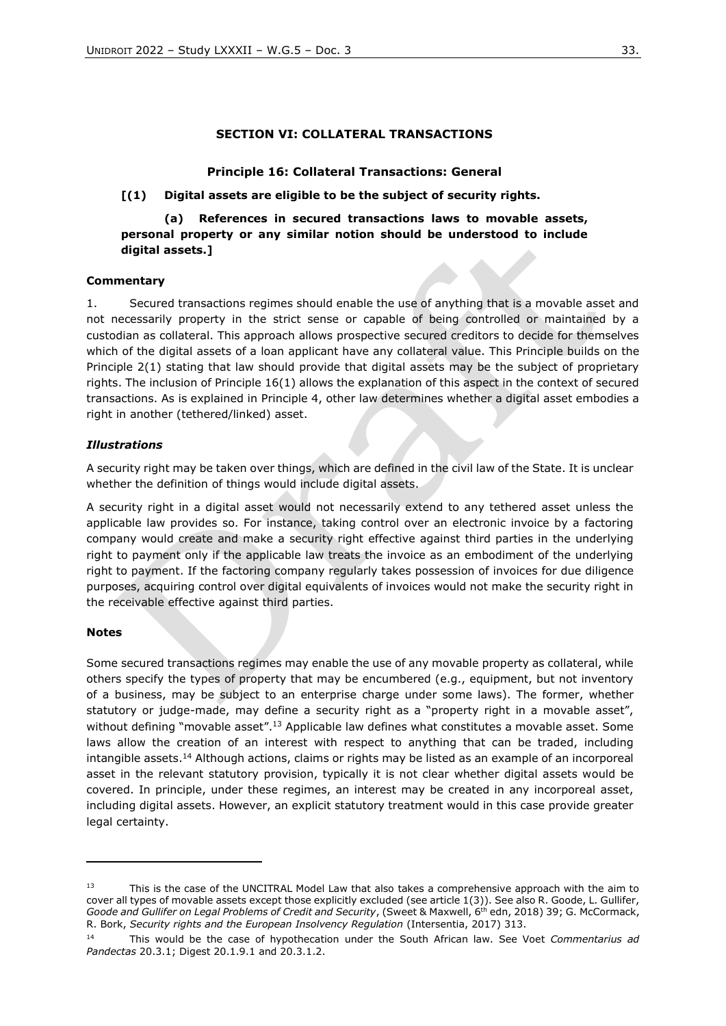### **SECTION VI: COLLATERAL TRANSACTIONS**

#### **Principle 16: Collateral Transactions: General**

#### **[(1) Digital assets are eligible to be the subject of security rights.**

# **(a) References in secured transactions laws to movable assets, personal property or any similar notion should be understood to include digital assets.]**

#### **Commentary**

1. Secured transactions regimes should enable the use of anything that is a movable asset and not necessarily property in the strict sense or capable of being controlled or maintained by a custodian as collateral. This approach allows prospective secured creditors to decide for themselves which of the digital assets of a loan applicant have any collateral value. This Principle builds on the Principle 2(1) stating that law should provide that digital assets may be the subject of proprietary rights. The inclusion of Principle 16(1) allows the explanation of this aspect in the context of secured transactions. As is explained in Principle 4, other law determines whether a digital asset embodies a right in another (tethered/linked) asset.

#### *Illustrations*

A security right may be taken over things, which are defined in the civil law of the State. It is unclear whether the definition of things would include digital assets.

A security right in a digital asset would not necessarily extend to any tethered asset unless the applicable law provides so. For instance, taking control over an electronic invoice by a factoring company would create and make a security right effective against third parties in the underlying right to payment only if the applicable law treats the invoice as an embodiment of the underlying right to payment. If the factoring company regularly takes possession of invoices for due diligence purposes, acquiring control over digital equivalents of invoices would not make the security right in the receivable effective against third parties.

#### **Notes**

Some secured transactions regimes may enable the use of any movable property as collateral, while others specify the types of property that may be encumbered (e.g., equipment, but not inventory of a business, may be subject to an enterprise charge under some laws). The former, whether statutory or judge-made, may define a security right as a "property right in a movable asset", without defining "movable asset".<sup>13</sup> Applicable law defines what constitutes a movable asset. Some laws allow the creation of an interest with respect to anything that can be traded, including intangible assets.<sup>14</sup> Although actions, claims or rights may be listed as an example of an incorporeal asset in the relevant statutory provision, typically it is not clear whether digital assets would be covered. In principle, under these regimes, an interest may be created in any incorporeal asset, including digital assets. However, an explicit statutory treatment would in this case provide greater legal certainty.

<sup>13</sup> This is the case of the UNCITRAL Model Law that also takes a comprehensive approach with the aim to cover all types of movable assets except those explicitly excluded (see article 1(3)). See also R. Goode, L. Gullifer, *Goode and Gullifer on Legal Problems of Credit and Security*, (Sweet & Maxwell, 6th edn, 2018) 39; G. McCormack, R. Bork, *Security rights and the European Insolvency Regulation* (Intersentia, 2017) 313.

<sup>14</sup> This would be the case of hypothecation under the South African law. See Voet *Commentarius ad Pandectas* 20.3.1; Digest 20.1.9.1 and 20.3.1.2.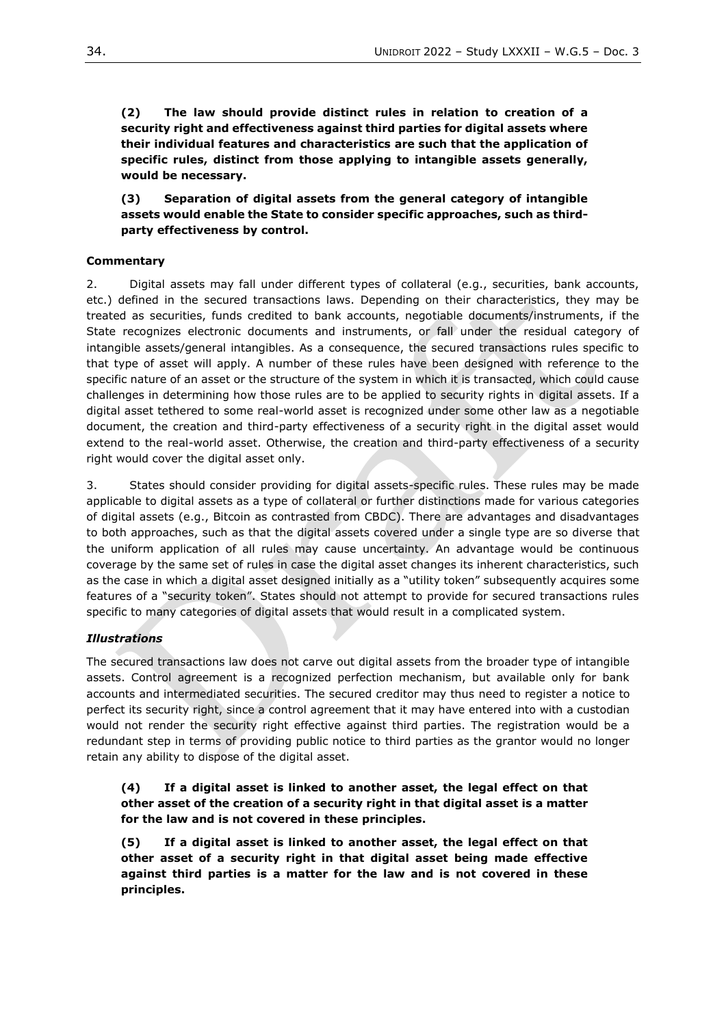**(2) The law should provide distinct rules in relation to creation of a security right and effectiveness against third parties for digital assets where their individual features and characteristics are such that the application of specific rules, distinct from those applying to intangible assets generally, would be necessary.** 

**(3) Separation of digital assets from the general category of intangible assets would enable the State to consider specific approaches, such as thirdparty effectiveness by control.**

### **Commentary**

2. Digital assets may fall under different types of collateral (e.g., securities, bank accounts, etc.) defined in the secured transactions laws. Depending on their characteristics, they may be treated as securities, funds credited to bank accounts, negotiable documents/instruments, if the State recognizes electronic documents and instruments, or fall under the residual category of intangible assets/general intangibles. As a consequence, the secured transactions rules specific to that type of asset will apply. A number of these rules have been designed with reference to the specific nature of an asset or the structure of the system in which it is transacted, which could cause challenges in determining how those rules are to be applied to security rights in digital assets. If a digital asset tethered to some real-world asset is recognized under some other law as a negotiable document, the creation and third-party effectiveness of a security right in the digital asset would extend to the real-world asset. Otherwise, the creation and third-party effectiveness of a security right would cover the digital asset only.

3. States should consider providing for digital assets-specific rules. These rules may be made applicable to digital assets as a type of collateral or further distinctions made for various categories of digital assets (e.g., Bitcoin as contrasted from CBDC). There are advantages and disadvantages to both approaches, such as that the digital assets covered under a single type are so diverse that the uniform application of all rules may cause uncertainty. An advantage would be continuous coverage by the same set of rules in case the digital asset changes its inherent characteristics, such as the case in which a digital asset designed initially as a "utility token" subsequently acquires some features of a "security token". States should not attempt to provide for secured transactions rules specific to many categories of digital assets that would result in a complicated system.

### *Illustrations*

The secured transactions law does not carve out digital assets from the broader type of intangible assets. Control agreement is a recognized perfection mechanism, but available only for bank accounts and intermediated securities. The secured creditor may thus need to register a notice to perfect its security right, since a control agreement that it may have entered into with a custodian would not render the security right effective against third parties. The registration would be a redundant step in terms of providing public notice to third parties as the grantor would no longer retain any ability to dispose of the digital asset.

**(4) If a digital asset is linked to another asset, the legal effect on that other asset of the creation of a security right in that digital asset is a matter for the law and is not covered in these principles.**

**(5) If a digital asset is linked to another asset, the legal effect on that other asset of a security right in that digital asset being made effective against third parties is a matter for the law and is not covered in these principles.**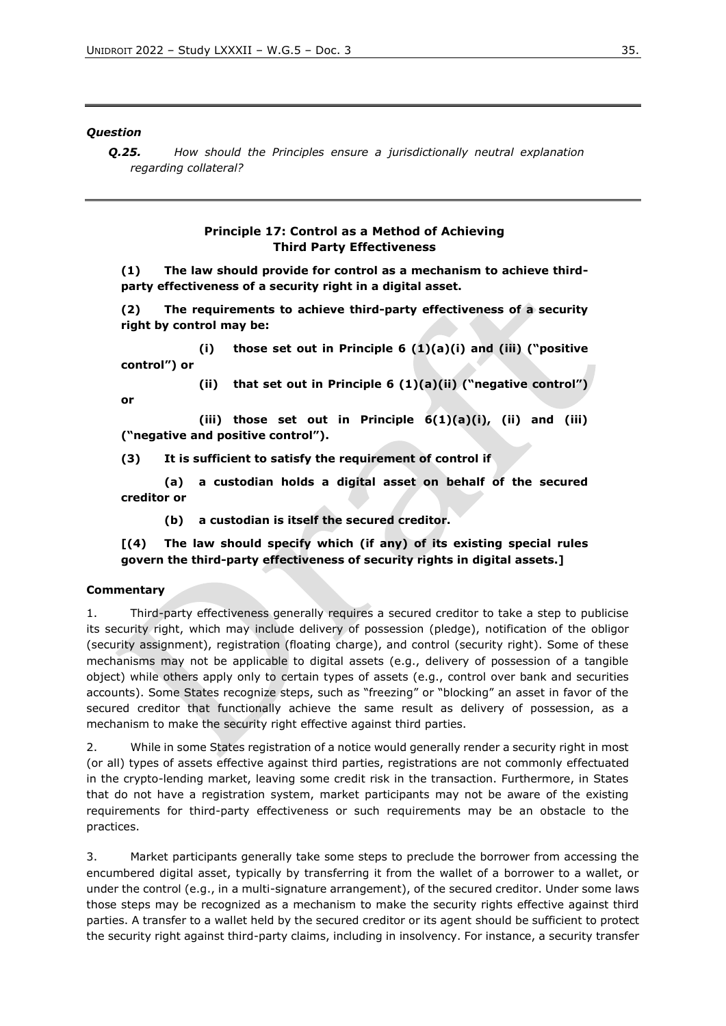#### *Question*

*Q.25. How should the Principles ensure a jurisdictionally neutral explanation regarding collateral?*

#### **Principle 17: Control as a Method of Achieving Third Party Effectiveness**

**(1) The law should provide for control as a mechanism to achieve thirdparty effectiveness of a security right in a digital asset.** 

**(2) The requirements to achieve third-party effectiveness of a security right by control may be:**

**(i) those set out in Principle 6 (1)(a)(i) and (iii) ("positive control") or**

**or** 

**(ii) that set out in Principle 6 (1)(a)(ii) ("negative control")** 

**(iii) those set out in Principle 6(1)(a)(i), (ii) and (iii) ("negative and positive control").**

**(3) It is sufficient to satisfy the requirement of control if** 

**(a) a custodian holds a digital asset on behalf of the secured creditor or**

**(b) a custodian is itself the secured creditor.**

**[(4) The law should specify which (if any) of its existing special rules govern the third-party effectiveness of security rights in digital assets.]**

#### **Commentary**

1. Third-party effectiveness generally requires a secured creditor to take a step to publicise its security right, which may include delivery of possession (pledge), notification of the obligor (security assignment), registration (floating charge), and control (security right). Some of these mechanisms may not be applicable to digital assets (e.g., delivery of possession of a tangible object) while others apply only to certain types of assets (e.g., control over bank and securities accounts). Some States recognize steps, such as "freezing" or "blocking" an asset in favor of the secured creditor that functionally achieve the same result as delivery of possession, as a mechanism to make the security right effective against third parties.

2. While in some States registration of a notice would generally render a security right in most (or all) types of assets effective against third parties, registrations are not commonly effectuated in the crypto-lending market, leaving some credit risk in the transaction. Furthermore, in States that do not have a registration system, market participants may not be aware of the existing requirements for third-party effectiveness or such requirements may be an obstacle to the practices.

3. Market participants generally take some steps to preclude the borrower from accessing the encumbered digital asset, typically by transferring it from the wallet of a borrower to a wallet, or under the control (e.g., in a multi-signature arrangement), of the secured creditor. Under some laws those steps may be recognized as a mechanism to make the security rights effective against third parties. A transfer to a wallet held by the secured creditor or its agent should be sufficient to protect the security right against third-party claims, including in insolvency. For instance, a security transfer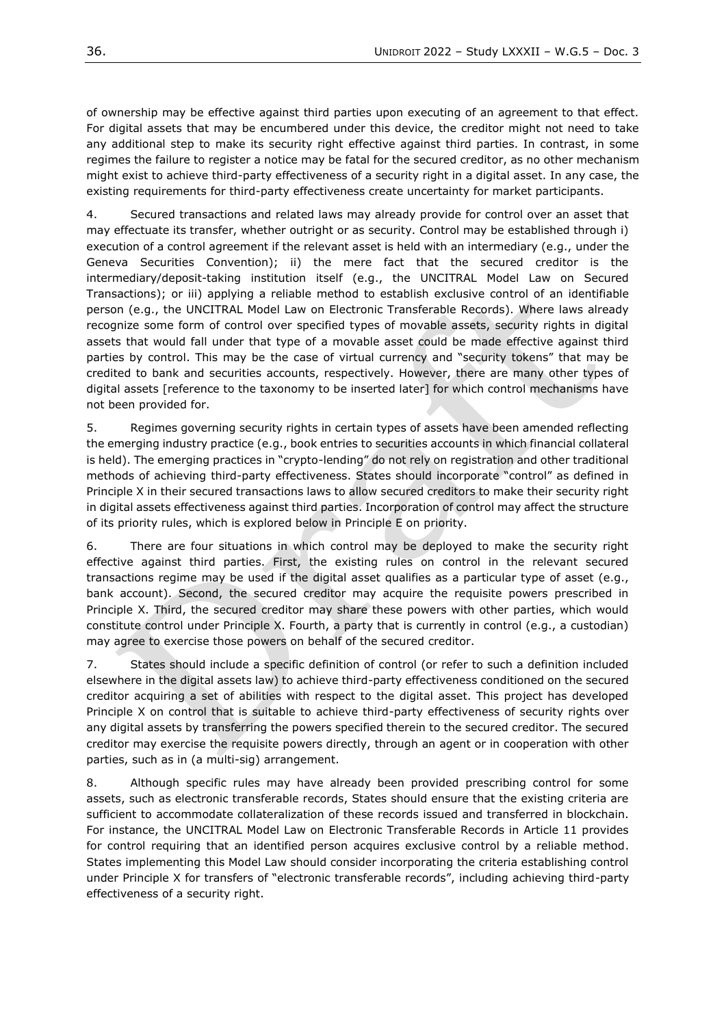of ownership may be effective against third parties upon executing of an agreement to that effect. For digital assets that may be encumbered under this device, the creditor might not need to take any additional step to make its security right effective against third parties. In contrast, in some regimes the failure to register a notice may be fatal for the secured creditor, as no other mechanism might exist to achieve third-party effectiveness of a security right in a digital asset. In any case, the existing requirements for third-party effectiveness create uncertainty for market participants.

4. Secured transactions and related laws may already provide for control over an asset that may effectuate its transfer, whether outright or as security. Control may be established through i) execution of a control agreement if the relevant asset is held with an intermediary (e.g., under the Geneva Securities Convention); ii) the mere fact that the secured creditor is the intermediary/deposit-taking institution itself (e.g., the UNCITRAL Model Law on Secured Transactions); or iii) applying a reliable method to establish exclusive control of an identifiable person (e.g., the UNCITRAL Model Law on Electronic Transferable Records). Where laws already recognize some form of control over specified types of movable assets, security rights in digital assets that would fall under that type of a movable asset could be made effective against third parties by control. This may be the case of virtual currency and "security tokens" that may be credited to bank and securities accounts, respectively. However, there are many other types of digital assets [reference to the taxonomy to be inserted later] for which control mechanisms have not been provided for.

5. Regimes governing security rights in certain types of assets have been amended reflecting the emerging industry practice (e.g., book entries to securities accounts in which financial collateral is held). The emerging practices in "crypto-lending" do not rely on registration and other traditional methods of achieving third-party effectiveness. States should incorporate "control" as defined in Principle X in their secured transactions laws to allow secured creditors to make their security right in digital assets effectiveness against third parties. Incorporation of control may affect the structure of its priority rules, which is explored below in Principle E on priority.

6. There are four situations in which control may be deployed to make the security right effective against third parties. First, the existing rules on control in the relevant secured transactions regime may be used if the digital asset qualifies as a particular type of asset (e.g., bank account). Second, the secured creditor may acquire the requisite powers prescribed in Principle X. Third, the secured creditor may share these powers with other parties, which would constitute control under Principle X. Fourth, a party that is currently in control (e.g., a custodian) may agree to exercise those powers on behalf of the secured creditor.

7. States should include a specific definition of control (or refer to such a definition included elsewhere in the digital assets law) to achieve third-party effectiveness conditioned on the secured creditor acquiring a set of abilities with respect to the digital asset. This project has developed Principle X on control that is suitable to achieve third-party effectiveness of security rights over any digital assets by transferring the powers specified therein to the secured creditor. The secured creditor may exercise the requisite powers directly, through an agent or in cooperation with other parties, such as in (a multi-sig) arrangement.

8. Although specific rules may have already been provided prescribing control for some assets, such as electronic transferable records, States should ensure that the existing criteria are sufficient to accommodate collateralization of these records issued and transferred in blockchain. For instance, the UNCITRAL Model Law on Electronic Transferable Records in Article 11 provides for control requiring that an identified person acquires exclusive control by a reliable method. States implementing this Model Law should consider incorporating the criteria establishing control under Principle X for transfers of "electronic transferable records", including achieving third-party effectiveness of a security right.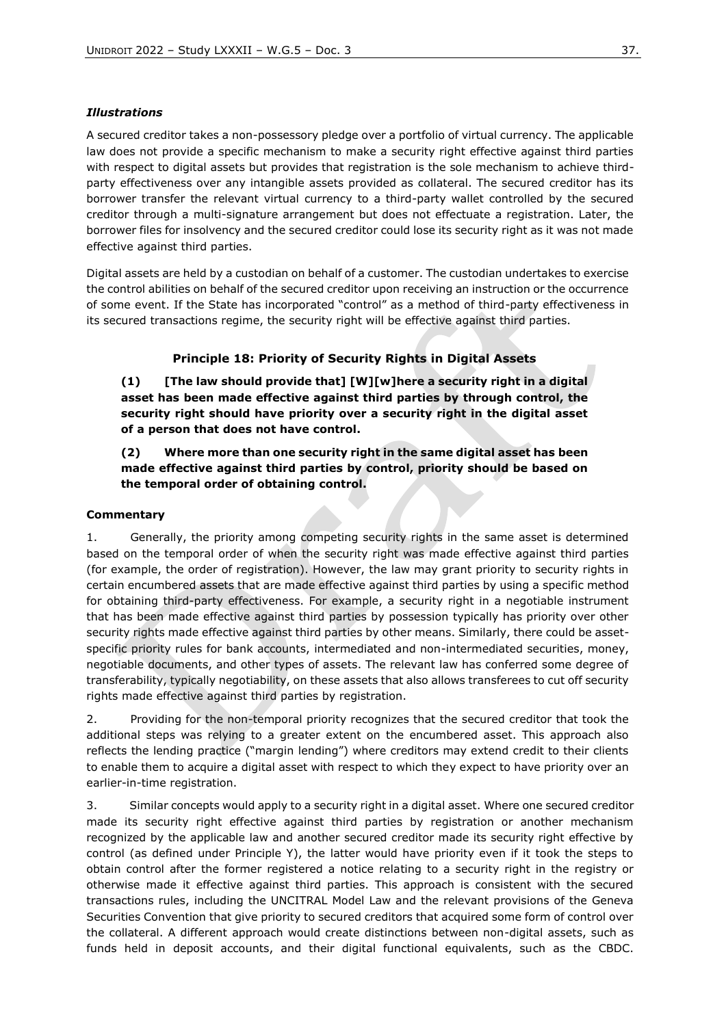#### *Illustrations*

A secured creditor takes a non-possessory pledge over a portfolio of virtual currency. The applicable law does not provide a specific mechanism to make a security right effective against third parties with respect to digital assets but provides that registration is the sole mechanism to achieve thirdparty effectiveness over any intangible assets provided as collateral. The secured creditor has its borrower transfer the relevant virtual currency to a third-party wallet controlled by the secured creditor through a multi-signature arrangement but does not effectuate a registration. Later, the borrower files for insolvency and the secured creditor could lose its security right as it was not made effective against third parties.

Digital assets are held by a custodian on behalf of a customer. The custodian undertakes to exercise the control abilities on behalf of the secured creditor upon receiving an instruction or the occurrence of some event. If the State has incorporated "control" as a method of third-party effectiveness in its secured transactions regime, the security right will be effective against third parties.

### **Principle 18: Priority of Security Rights in Digital Assets**

**(1) [The law should provide that] [W][w]here a security right in a digital asset has been made effective against third parties by through control, the security right should have priority over a security right in the digital asset of a person that does not have control.** 

### **(2) Where more than one security right in the same digital asset has been made effective against third parties by control, priority should be based on the temporal order of obtaining control.**

#### **Commentary**

1. Generally, the priority among competing security rights in the same asset is determined based on the temporal order of when the security right was made effective against third parties (for example, the order of registration). However, the law may grant priority to security rights in certain encumbered assets that are made effective against third parties by using a specific method for obtaining third-party effectiveness. For example, a security right in a negotiable instrument that has been made effective against third parties by possession typically has priority over other security rights made effective against third parties by other means. Similarly, there could be assetspecific priority rules for bank accounts, intermediated and non-intermediated securities, money, negotiable documents, and other types of assets. The relevant law has conferred some degree of transferability, typically negotiability, on these assets that also allows transferees to cut off security rights made effective against third parties by registration.

2. Providing for the non-temporal priority recognizes that the secured creditor that took the additional steps was relying to a greater extent on the encumbered asset. This approach also reflects the lending practice ("margin lending") where creditors may extend credit to their clients to enable them to acquire a digital asset with respect to which they expect to have priority over an earlier-in-time registration.

3. Similar concepts would apply to a security right in a digital asset. Where one secured creditor made its security right effective against third parties by registration or another mechanism recognized by the applicable law and another secured creditor made its security right effective by control (as defined under Principle Y), the latter would have priority even if it took the steps to obtain control after the former registered a notice relating to a security right in the registry or otherwise made it effective against third parties. This approach is consistent with the secured transactions rules, including the UNCITRAL Model Law and the relevant provisions of the Geneva Securities Convention that give priority to secured creditors that acquired some form of control over the collateral. A different approach would create distinctions between non-digital assets, such as funds held in deposit accounts, and their digital functional equivalents, such as the CBDC.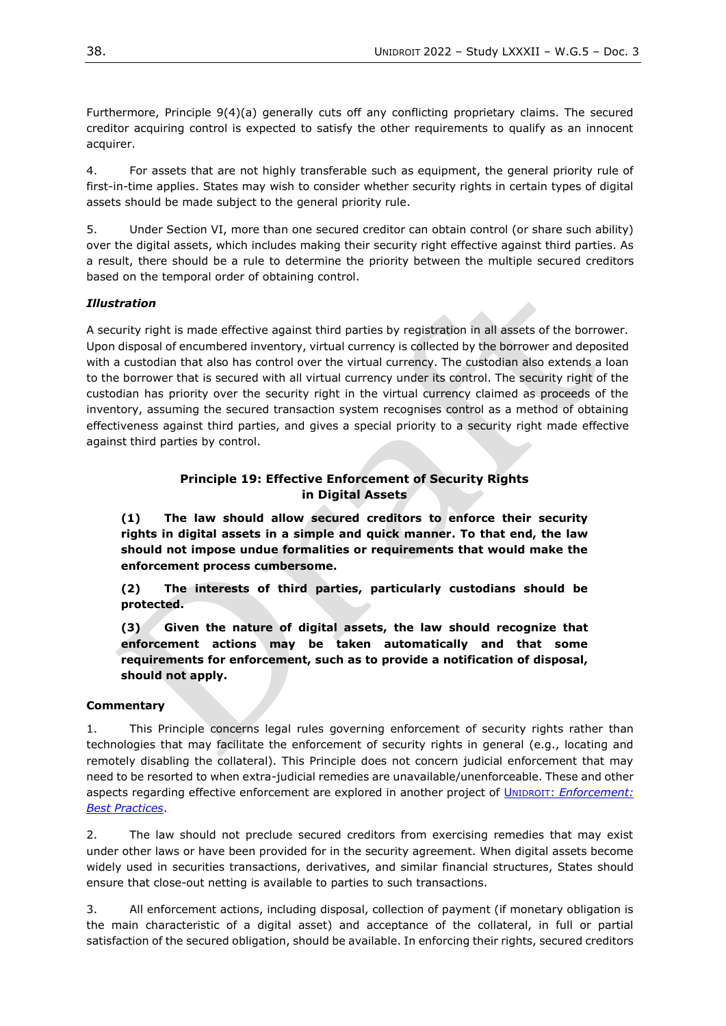Furthermore, Principle 9(4)(a) generally cuts off any conflicting proprietary claims. The secured creditor acquiring control is expected to satisfy the other requirements to qualify as an innocent acquirer.

4. For assets that are not highly transferable such as equipment, the general priority rule of first-in-time applies. States may wish to consider whether security rights in certain types of digital assets should be made subject to the general priority rule.

5. Under Section VI, more than one secured creditor can obtain control (or share such ability) over the digital assets, which includes making their security right effective against third parties. As a result, there should be a rule to determine the priority between the multiple secured creditors based on the temporal order of obtaining control.

### *Illustration*

A security right is made effective against third parties by registration in all assets of the borrower. Upon disposal of encumbered inventory, virtual currency is collected by the borrower and deposited with a custodian that also has control over the virtual currency. The custodian also extends a loan to the borrower that is secured with all virtual currency under its control. The security right of the custodian has priority over the security right in the virtual currency claimed as proceeds of the inventory, assuming the secured transaction system recognises control as a method of obtaining effectiveness against third parties, and gives a special priority to a security right made effective against third parties by control.

### **Principle 19: Effective Enforcement of Security Rights in Digital Assets**

**(1) The law should allow secured creditors to enforce their security rights in digital assets in a simple and quick manner. To that end, the law should not impose undue formalities or requirements that would make the enforcement process cumbersome.**

**(2) The interests of third parties, particularly custodians should be protected.**

**(3) Given the nature of digital assets, the law should recognize that enforcement actions may be taken automatically and that some requirements for enforcement, such as to provide a notification of disposal, should not apply.**

#### **Commentary**

1. This Principle concerns legal rules governing enforcement of security rights rather than technologies that may facilitate the enforcement of security rights in general (e.g., locating and remotely disabling the collateral). This Principle does not concern judicial enforcement that may need to be resorted to when extra-judicial remedies are unavailable/unenforceable. These and other aspects regarding effective enforcement are explored in another project of UNIDROIT: *[Enforcement:](https://www.unidroit.org/work-in-progress/enforcement-best-practices/)  [Best Practices](https://www.unidroit.org/work-in-progress/enforcement-best-practices/)*.

2. The law should not preclude secured creditors from exercising remedies that may exist under other laws or have been provided for in the security agreement. When digital assets become widely used in securities transactions, derivatives, and similar financial structures, States should ensure that close-out netting is available to parties to such transactions.

3. All enforcement actions, including disposal, collection of payment (if monetary obligation is the main characteristic of a digital asset) and acceptance of the collateral, in full or partial satisfaction of the secured obligation, should be available. In enforcing their rights, secured creditors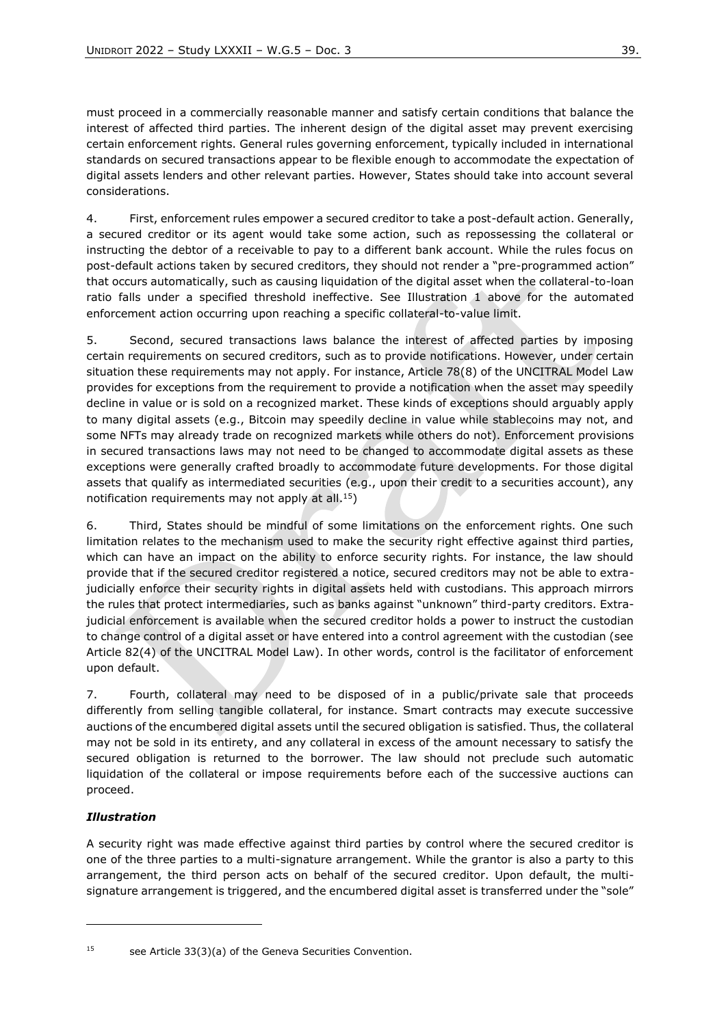must proceed in a commercially reasonable manner and satisfy certain conditions that balance the interest of affected third parties. The inherent design of the digital asset may prevent exercising certain enforcement rights. General rules governing enforcement, typically included in international standards on secured transactions appear to be flexible enough to accommodate the expectation of digital assets lenders and other relevant parties. However, States should take into account several considerations.

4. First, enforcement rules empower a secured creditor to take a post-default action. Generally, a secured creditor or its agent would take some action, such as repossessing the collateral or instructing the debtor of a receivable to pay to a different bank account. While the rules focus on post-default actions taken by secured creditors, they should not render a "pre-programmed action" that occurs automatically, such as causing liquidation of the digital asset when the collateral-to-loan ratio falls under a specified threshold ineffective. See Illustration 1 above for the automated enforcement action occurring upon reaching a specific collateral-to-value limit.

5. Second, secured transactions laws balance the interest of affected parties by imposing certain requirements on secured creditors, such as to provide notifications. However, under certain situation these requirements may not apply. For instance, Article 78(8) of the UNCITRAL Model Law provides for exceptions from the requirement to provide a notification when the asset may speedily decline in value or is sold on a recognized market. These kinds of exceptions should arguably apply to many digital assets (e.g., Bitcoin may speedily decline in value while stablecoins may not, and some NFTs may already trade on recognized markets while others do not). Enforcement provisions in secured transactions laws may not need to be changed to accommodate digital assets as these exceptions were generally crafted broadly to accommodate future developments. For those digital assets that qualify as intermediated securities (e.g., upon their credit to a securities account), any notification requirements may not apply at all.<sup>15</sup>)

6. Third, States should be mindful of some limitations on the enforcement rights. One such limitation relates to the mechanism used to make the security right effective against third parties, which can have an impact on the ability to enforce security rights. For instance, the law should provide that if the secured creditor registered a notice, secured creditors may not be able to extrajudicially enforce their security rights in digital assets held with custodians. This approach mirrors the rules that protect intermediaries, such as banks against "unknown" third-party creditors. Extrajudicial enforcement is available when the secured creditor holds a power to instruct the custodian to change control of a digital asset or have entered into a control agreement with the custodian (see Article 82(4) of the UNCITRAL Model Law). In other words, control is the facilitator of enforcement upon default.

7. Fourth, collateral may need to be disposed of in a public/private sale that proceeds differently from selling tangible collateral, for instance. Smart contracts may execute successive auctions of the encumbered digital assets until the secured obligation is satisfied. Thus, the collateral may not be sold in its entirety, and any collateral in excess of the amount necessary to satisfy the secured obligation is returned to the borrower. The law should not preclude such automatic liquidation of the collateral or impose requirements before each of the successive auctions can proceed.

### *Illustration*

A security right was made effective against third parties by control where the secured creditor is one of the three parties to a multi-signature arrangement. While the grantor is also a party to this arrangement, the third person acts on behalf of the secured creditor. Upon default, the multisignature arrangement is triggered, and the encumbered digital asset is transferred under the "sole"

<sup>&</sup>lt;sup>15</sup> see Article 33(3)(a) of the Geneva Securities Convention.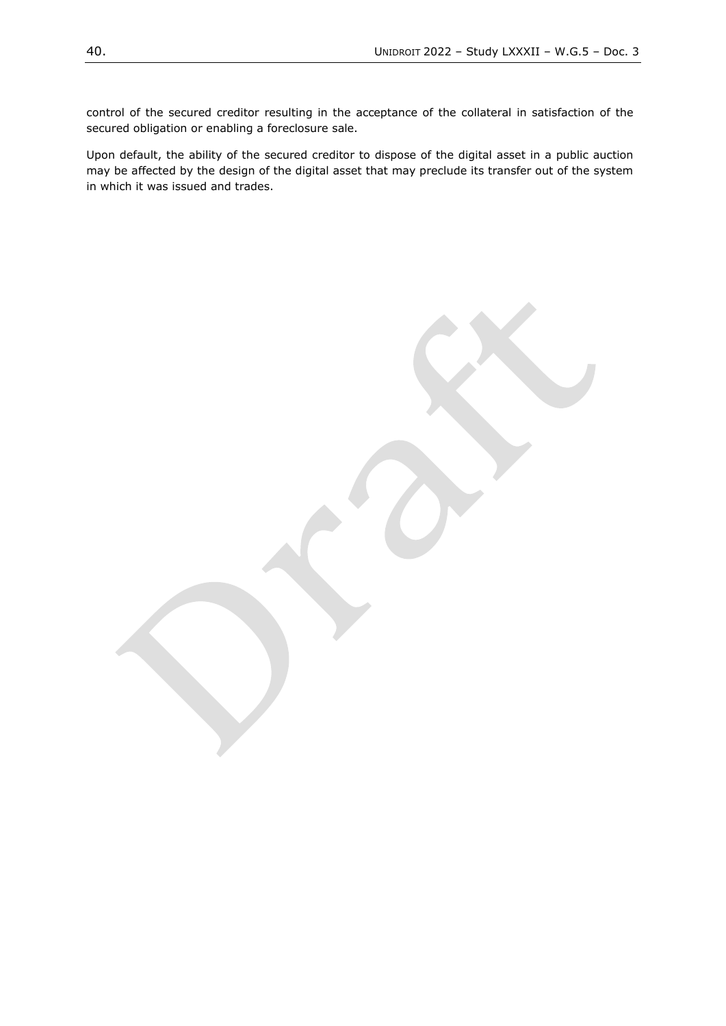control of the secured creditor resulting in the acceptance of the collateral in satisfaction of the secured obligation or enabling a foreclosure sale.

Upon default, the ability of the secured creditor to dispose of the digital asset in a public auction may be affected by the design of the digital asset that may preclude its transfer out of the system in which it was issued and trades.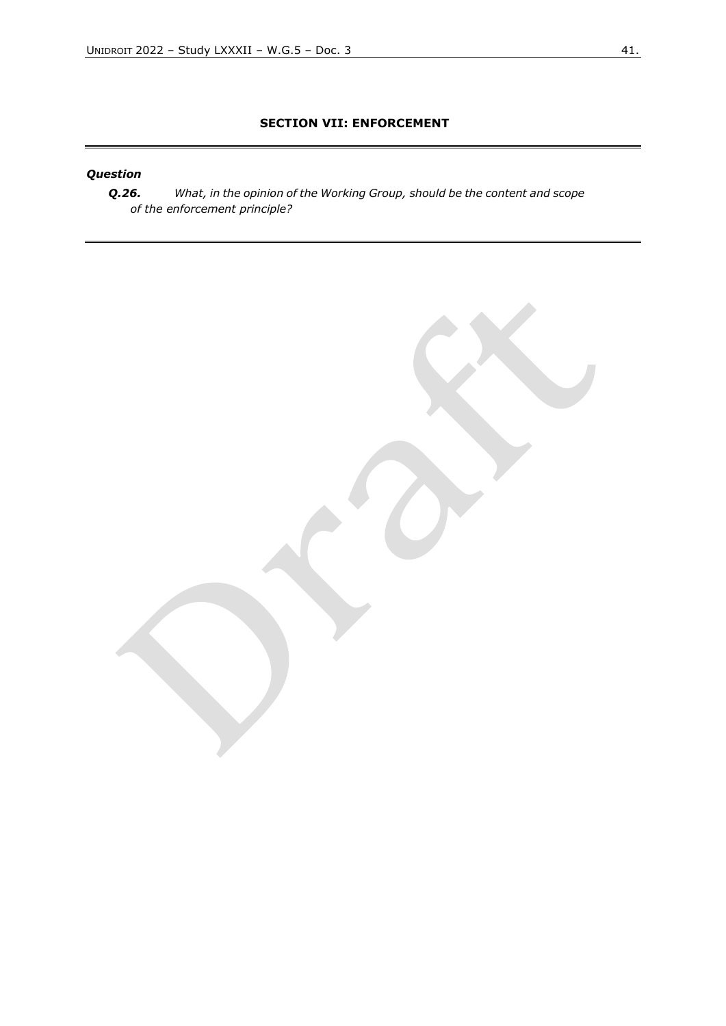# **SECTION VII: ENFORCEMENT**

# *Question*

*Q.26. What, in the opinion of the Working Group, should be the content and scope of the enforcement principle?*

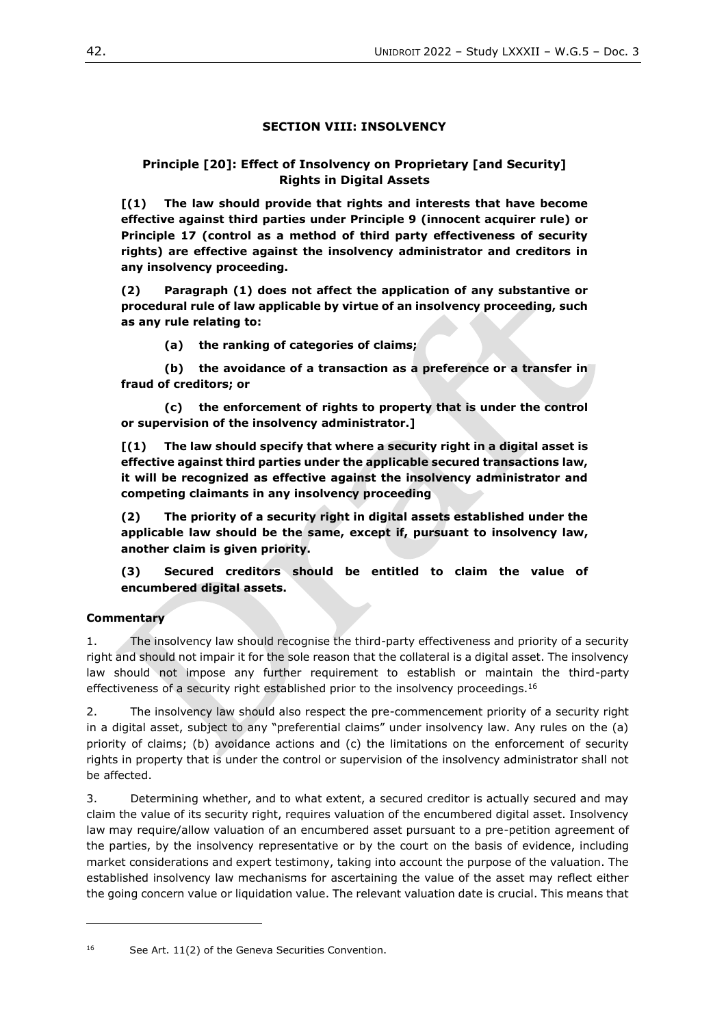### **SECTION VIII: INSOLVENCY**

### **Principle [20]: Effect of Insolvency on Proprietary [and Security] Rights in Digital Assets**

**[(1) The law should provide that rights and interests that have become effective against third parties under Principle 9 (innocent acquirer rule) or Principle 17 (control as a method of third party effectiveness of security rights) are effective against the insolvency administrator and creditors in any insolvency proceeding.**

**(2) Paragraph (1) does not affect the application of any substantive or procedural rule of law applicable by virtue of an insolvency proceeding, such as any rule relating to:**

**(a) the ranking of categories of claims;**

**(b) the avoidance of a transaction as a preference or a transfer in fraud of creditors; or**

**(c) the enforcement of rights to property that is under the control or supervision of the insolvency administrator.]**

**[(1) The law should specify that where a security right in a digital asset is effective against third parties under the applicable secured transactions law, it will be recognized as effective against the insolvency administrator and competing claimants in any insolvency proceeding**

**(2) The priority of a security right in digital assets established under the applicable law should be the same, except if, pursuant to insolvency law, another claim is given priority.**

**(3) Secured creditors should be entitled to claim the value of encumbered digital assets.**

### **Commentary**

1. The insolvency law should recognise the third-party effectiveness and priority of a security right and should not impair it for the sole reason that the collateral is a digital asset. The insolvency law should not impose any further requirement to establish or maintain the third-party effectiveness of a security right established prior to the insolvency proceedings.<sup>16</sup>

2. The insolvency law should also respect the pre-commencement priority of a security right in a digital asset, subject to any "preferential claims" under insolvency law. Any rules on the (a) priority of claims; (b) avoidance actions and (c) the limitations on the enforcement of security rights in property that is under the control or supervision of the insolvency administrator shall not be affected.

3. Determining whether, and to what extent, a secured creditor is actually secured and may claim the value of its security right, requires valuation of the encumbered digital asset. Insolvency law may require/allow valuation of an encumbered asset pursuant to a pre-petition agreement of the parties, by the insolvency representative or by the court on the basis of evidence, including market considerations and expert testimony, taking into account the purpose of the valuation. The established insolvency law mechanisms for ascertaining the value of the asset may reflect either the going concern value or liquidation value. The relevant valuation date is crucial. This means that

<sup>16</sup> See Art. 11(2) of the Geneva Securities Convention.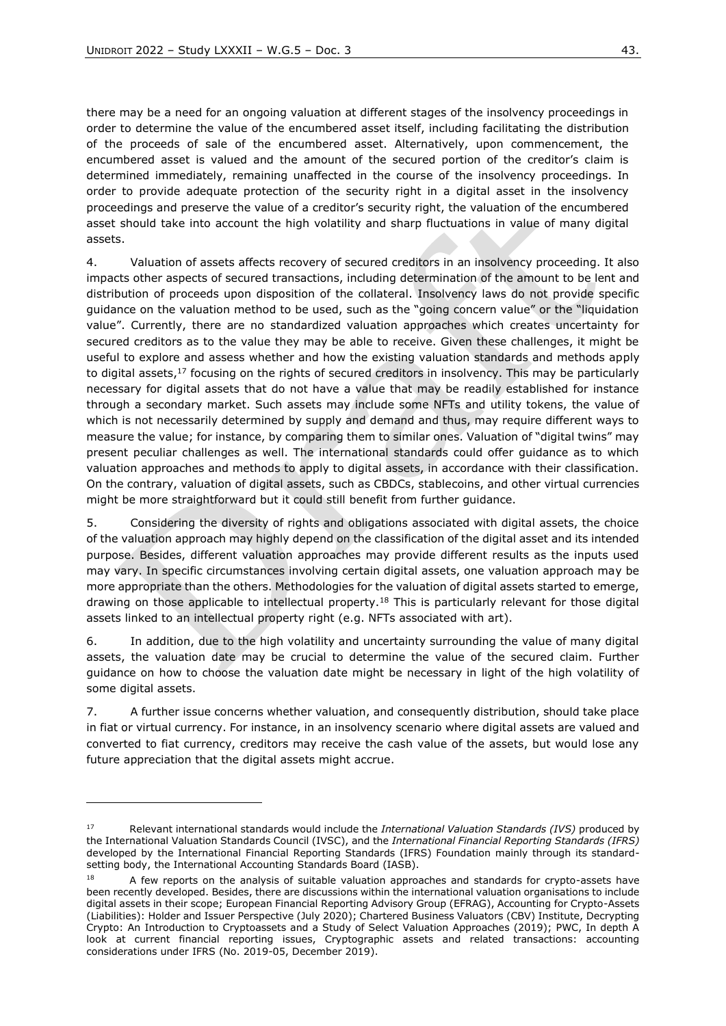there may be a need for an ongoing valuation at different stages of the insolvency proceedings in order to determine the value of the encumbered asset itself, including facilitating the distribution of the proceeds of sale of the encumbered asset. Alternatively, upon commencement, the encumbered asset is valued and the amount of the secured portion of the creditor's claim is determined immediately, remaining unaffected in the course of the insolvency proceedings. In order to provide adequate protection of the security right in a digital asset in the insolvency proceedings and preserve the value of a creditor's security right, the valuation of the encumbered asset should take into account the high volatility and sharp fluctuations in value of many digital assets.

4. Valuation of assets affects recovery of secured creditors in an insolvency proceeding. It also impacts other aspects of secured transactions, including determination of the amount to be lent and distribution of proceeds upon disposition of the collateral. Insolvency laws do not provide specific guidance on the valuation method to be used, such as the "going concern value" or the "liquidation value". Currently, there are no standardized valuation approaches which creates uncertainty for secured creditors as to the value they may be able to receive. Given these challenges, it might be useful to explore and assess whether and how the existing valuation standards and methods apply to digital assets,<sup>17</sup> focusing on the rights of secured creditors in insolvency. This may be particularly necessary for digital assets that do not have a value that may be readily established for instance through a secondary market. Such assets may include some NFTs and utility tokens, the value of which is not necessarily determined by supply and demand and thus, may require different ways to measure the value; for instance, by comparing them to similar ones. Valuation of "digital twins" may present peculiar challenges as well. The international standards could offer guidance as to which valuation approaches and methods to apply to digital assets, in accordance with their classification. On the contrary, valuation of digital assets, such as CBDCs, stablecoins, and other virtual currencies might be more straightforward but it could still benefit from further guidance.

5. Considering the diversity of rights and obligations associated with digital assets, the choice of the valuation approach may highly depend on the classification of the digital asset and its intended purpose. Besides, different valuation approaches may provide different results as the inputs used may vary. In specific circumstances involving certain digital assets, one valuation approach may be more appropriate than the others. Methodologies for the valuation of digital assets started to emerge, drawing on those applicable to intellectual property.<sup>18</sup> This is particularly relevant for those digital assets linked to an intellectual property right (e.g. NFTs associated with art).

6. In addition, due to the high volatility and uncertainty surrounding the value of many digital assets, the valuation date may be crucial to determine the value of the secured claim. Further guidance on how to choose the valuation date might be necessary in light of the high volatility of some digital assets.

7. A further issue concerns whether valuation, and consequently distribution, should take place in fiat or virtual currency. For instance, in an insolvency scenario where digital assets are valued and converted to fiat currency, creditors may receive the cash value of the assets, but would lose any future appreciation that the digital assets might accrue.

<sup>17</sup> Relevant international standards would include the *International Valuation Standards (IVS)* produced by the International Valuation Standards Council (IVSC), and the *International Financial Reporting Standards (IFRS)* developed by the International Financial Reporting Standards (IFRS) Foundation mainly through its standardsetting body, the International Accounting Standards Board (IASB).

<sup>&</sup>lt;sup>18</sup> A few reports on the analysis of suitable valuation approaches and standards for crypto-assets have been recently developed. Besides, there are discussions within the international valuation organisations to include digital assets in their scope; European Financial Reporting Advisory Group (EFRAG), Accounting for Crypto-Assets (Liabilities): Holder and Issuer Perspective (July 2020); Chartered Business Valuators (CBV) Institute, Decrypting Crypto: An Introduction to Cryptoassets and a Study of Select Valuation Approaches (2019); PWC, In depth A look at current financial reporting issues, Cryptographic assets and related transactions: accounting considerations under IFRS (No. 2019-05, December 2019).